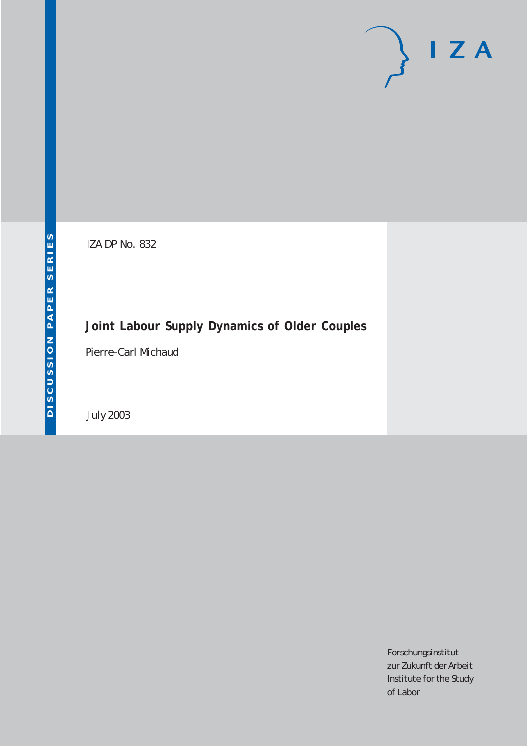# $I Z A$

IZA DP No. 832

# **Joint Labour Supply Dynamics of Older Couples**

Pierre-Carl Michaud

July 2003

Forschungsinstitut zur Zukunft der Arbeit Institute for the Study of Labor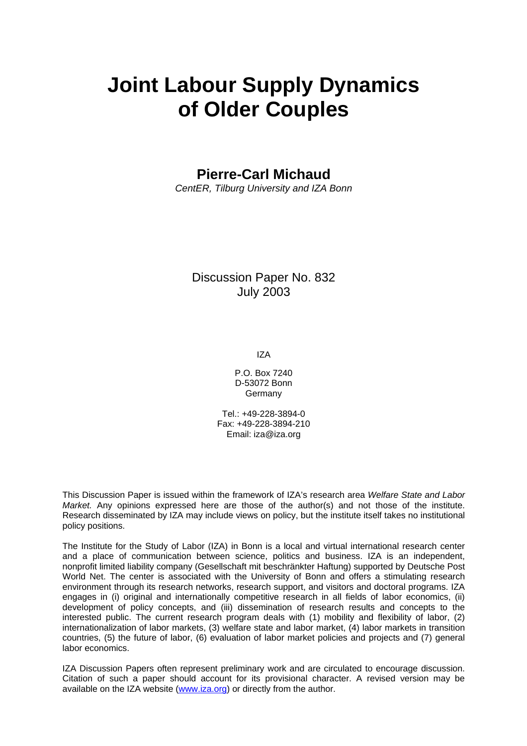# **Joint Labour Supply Dynamics of Older Couples**

**Pierre-Carl Michaud** 

*CentER, Tilburg University and IZA Bonn* 

## Discussion Paper No. 832 July 2003

IZA

P.O. Box 7240 D-53072 Bonn Germany

Tel.: +49-228-3894-0 Fax: +49-228-3894-210 Email: [iza@iza.org](mailto:iza@iza.org)

This Discussion Paper is issued within the framework of IZA's research area *Welfare State and Labor Market.* Any opinions expressed here are those of the author(s) and not those of the institute. Research disseminated by IZA may include views on policy, but the institute itself takes no institutional policy positions.

The Institute for the Study of Labor (IZA) in Bonn is a local and virtual international research center and a place of communication between science, politics and business. IZA is an independent, nonprofit limited liability company (Gesellschaft mit beschränkter Haftung) supported by Deutsche Post World Net. The center is associated with the University of Bonn and offers a stimulating research environment through its research networks, research support, and visitors and doctoral programs. IZA engages in (i) original and internationally competitive research in all fields of labor economics, (ii) development of policy concepts, and (iii) dissemination of research results and concepts to the interested public. The current research program deals with (1) mobility and flexibility of labor, (2) internationalization of labor markets, (3) welfare state and labor market, (4) labor markets in transition countries, (5) the future of labor, (6) evaluation of labor market policies and projects and (7) general labor economics.

IZA Discussion Papers often represent preliminary work and are circulated to encourage discussion. Citation of such a paper should account for its provisional character. A revised version may be available on the IZA website ([www.iza.org](http://www.iza.org/)) or directly from the author.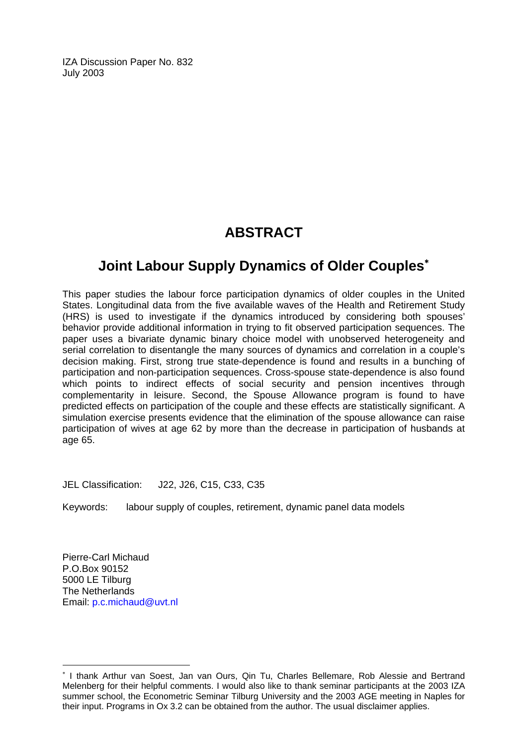IZA Discussion Paper No. 832 July 2003

# **ABSTRACT**

# **Joint Labour Supply Dynamics of Older Couples**[∗](#page-2-0)

This paper studies the labour force participation dynamics of older couples in the United States. Longitudinal data from the five available waves of the Health and Retirement Study (HRS) is used to investigate if the dynamics introduced by considering both spouses' behavior provide additional information in trying to fit observed participation sequences. The paper uses a bivariate dynamic binary choice model with unobserved heterogeneity and serial correlation to disentangle the many sources of dynamics and correlation in a couple's decision making. First, strong true state-dependence is found and results in a bunching of participation and non-participation sequences. Cross-spouse state-dependence is also found which points to indirect effects of social security and pension incentives through complementarity in leisure. Second, the Spouse Allowance program is found to have predicted effects on participation of the couple and these effects are statistically significant. A simulation exercise presents evidence that the elimination of the spouse allowance can raise participation of wives at age 62 by more than the decrease in participation of husbands at age 65.

JEL Classification: J22, J26, C15, C33, C35

Keywords: labour supply of couples, retirement, dynamic panel data models

Pierre-Carl Michaud P.O.Box 90152 5000 LE Tilburg The Netherlands Email: [p.c.michaud@uvt.nl](mailto:p.c.michaud@uvt.nl) 

 $\overline{a}$ 

<span id="page-2-0"></span><sup>∗</sup> I thank Arthur van Soest, Jan van Ours, Qin Tu, Charles Bellemare, Rob Alessie and Bertrand Melenberg for their helpful comments. I would also like to thank seminar participants at the 2003 IZA summer school, the Econometric Seminar Tilburg University and the 2003 AGE meeting in Naples for their input. Programs in Ox 3.2 can be obtained from the author. The usual disclaimer applies.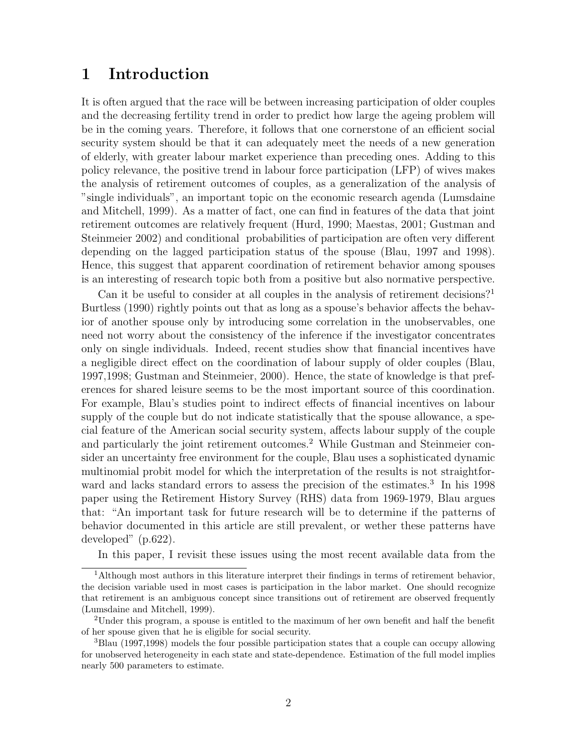# 1 Introduction

It is often argued that the race will be between increasing participation of older couples and the decreasing fertility trend in order to predict how large the ageing problem will be in the coming years. Therefore, it follows that one cornerstone of an efficient social security system should be that it can adequately meet the needs of a new generation of elderly, with greater labour market experience than preceding ones. Adding to this policy relevance, the positive trend in labour force participation (LFP) of wives makes the analysis of retirement outcomes of couples, as a generalization of the analysis of "single individuals", an important topic on the economic research agenda (Lumsdaine and Mitchell, 1999). As a matter of fact, one can find in features of the data that joint retirement outcomes are relatively frequent (Hurd, 1990; Maestas, 2001; Gustman and Steinmeier 2002) and conditional probabilities of participation are often very different depending on the lagged participation status of the spouse (Blau, 1997 and 1998). Hence, this suggest that apparent coordination of retirement behavior among spouses is an interesting of research topic both from a positive but also normative perspective.

Can it be useful to consider at all couples in the analysis of retirement decisions?<sup>1</sup> Burtless (1990) rightly points out that as long as a spouse's behavior affects the behavior of another spouse only by introducing some correlation in the unobservables, one need not worry about the consistency of the inference if the investigator concentrates only on single individuals. Indeed, recent studies show that financial incentives have a negligible direct effect on the coordination of labour supply of older couples (Blau, 1997,1998; Gustman and Steinmeier, 2000). Hence, the state of knowledge is that preferences for shared leisure seems to be the most important source of this coordination. For example, Blau's studies point to indirect effects of financial incentives on labour supply of the couple but do not indicate statistically that the spouse allowance, a special feature of the American social security system, affects labour supply of the couple and particularly the joint retirement outcomes.<sup>2</sup> While Gustman and Steinmeier consider an uncertainty free environment for the couple, Blau uses a sophisticated dynamic multinomial probit model for which the interpretation of the results is not straightforward and lacks standard errors to assess the precision of the estimates.<sup>3</sup> In his 1998 paper using the Retirement History Survey (RHS) data from 1969-1979, Blau argues that: "An important task for future research will be to determine if the patterns of behavior documented in this article are still prevalent, or wether these patterns have developed" (p.622).

In this paper, I revisit these issues using the most recent available data from the

<sup>1</sup>Although most authors in this literature interpret their findings in terms of retirement behavior, the decision variable used in most cases is participation in the labor market. One should recognize that retirement is an ambiguous concept since transitions out of retirement are observed frequently (Lumsdaine and Mitchell, 1999).

<sup>2</sup>Under this program, a spouse is entitled to the maximum of her own benefit and half the benefit of her spouse given that he is eligible for social security.

<sup>3</sup>Blau (1997,1998) models the four possible participation states that a couple can occupy allowing for unobserved heterogeneity in each state and state-dependence. Estimation of the full model implies nearly 500 parameters to estimate.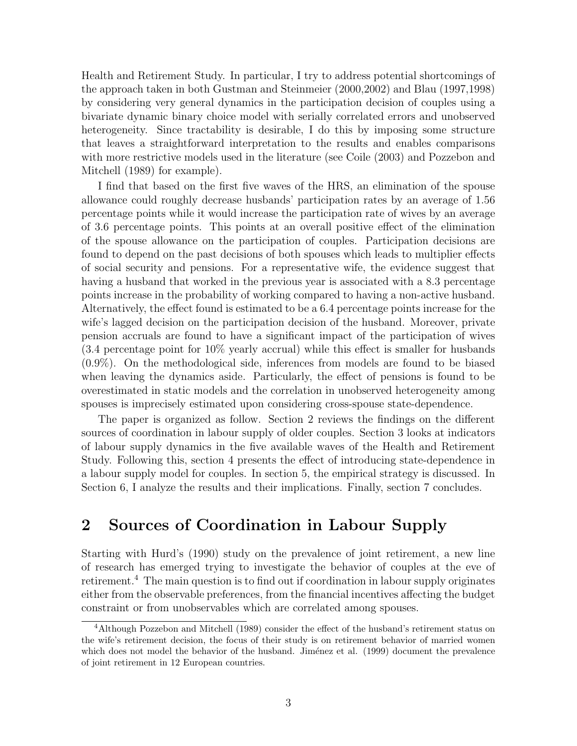Health and Retirement Study. In particular, I try to address potential shortcomings of the approach taken in both Gustman and Steinmeier (2000,2002) and Blau (1997,1998) by considering very general dynamics in the participation decision of couples using a bivariate dynamic binary choice model with serially correlated errors and unobserved heterogeneity. Since tractability is desirable, I do this by imposing some structure that leaves a straightforward interpretation to the results and enables comparisons with more restrictive models used in the literature (see Coile (2003) and Pozzebon and Mitchell (1989) for example).

I find that based on the first five waves of the HRS, an elimination of the spouse allowance could roughly decrease husbands' participation rates by an average of 1.56 percentage points while it would increase the participation rate of wives by an average of 3.6 percentage points. This points at an overall positive effect of the elimination of the spouse allowance on the participation of couples. Participation decisions are found to depend on the past decisions of both spouses which leads to multiplier effects of social security and pensions. For a representative wife, the evidence suggest that having a husband that worked in the previous year is associated with a 8.3 percentage points increase in the probability of working compared to having a non-active husband. Alternatively, the effect found is estimated to be a 6.4 percentage points increase for the wife's lagged decision on the participation decision of the husband. Moreover, private pension accruals are found to have a significant impact of the participation of wives (3.4 percentage point for 10% yearly accrual) while this effect is smaller for husbands (0.9%). On the methodological side, inferences from models are found to be biased when leaving the dynamics aside. Particularly, the effect of pensions is found to be overestimated in static models and the correlation in unobserved heterogeneity among spouses is imprecisely estimated upon considering cross-spouse state-dependence.

The paper is organized as follow. Section 2 reviews the findings on the different sources of coordination in labour supply of older couples. Section 3 looks at indicators of labour supply dynamics in the five available waves of the Health and Retirement Study. Following this, section 4 presents the effect of introducing state-dependence in a labour supply model for couples. In section 5, the empirical strategy is discussed. In Section 6, I analyze the results and their implications. Finally, section 7 concludes.

# 2 Sources of Coordination in Labour Supply

Starting with Hurd's (1990) study on the prevalence of joint retirement, a new line of research has emerged trying to investigate the behavior of couples at the eve of retirement.<sup>4</sup> The main question is to find out if coordination in labour supply originates either from the observable preferences, from the financial incentives affecting the budget constraint or from unobservables which are correlated among spouses.

<sup>4</sup>Although Pozzebon and Mitchell (1989) consider the effect of the husband's retirement status on the wife's retirement decision, the focus of their study is on retirement behavior of married women which does not model the behavior of the husband. Jiménez et al. (1999) document the prevalence of joint retirement in 12 European countries.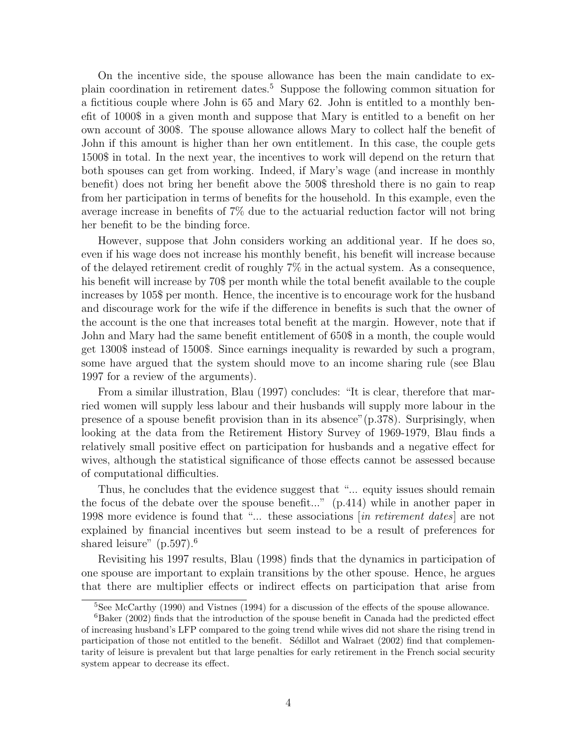On the incentive side, the spouse allowance has been the main candidate to explain coordination in retirement dates.<sup>5</sup> Suppose the following common situation for a fictitious couple where John is 65 and Mary 62. John is entitled to a monthly benefit of 1000\$ in a given month and suppose that Mary is entitled to a benefit on her own account of 300\$. The spouse allowance allows Mary to collect half the benefit of John if this amount is higher than her own entitlement. In this case, the couple gets 1500\$ in total. In the next year, the incentives to work will depend on the return that both spouses can get from working. Indeed, if Mary's wage (and increase in monthly benefit) does not bring her benefit above the 500\$ threshold there is no gain to reap from her participation in terms of benefits for the household. In this example, even the average increase in benefits of 7% due to the actuarial reduction factor will not bring her benefit to be the binding force.

However, suppose that John considers working an additional year. If he does so, even if his wage does not increase his monthly benefit, his benefit will increase because of the delayed retirement credit of roughly 7% in the actual system. As a consequence, his benefit will increase by 70\$ per month while the total benefit available to the couple increases by 105\$ per month. Hence, the incentive is to encourage work for the husband and discourage work for the wife if the difference in benefits is such that the owner of the account is the one that increases total benefit at the margin. However, note that if John and Mary had the same benefit entitlement of 650\$ in a month, the couple would get 1300\$ instead of 1500\$. Since earnings inequality is rewarded by such a program, some have argued that the system should move to an income sharing rule (see Blau 1997 for a review of the arguments).

From a similar illustration, Blau (1997) concludes: "It is clear, therefore that married women will supply less labour and their husbands will supply more labour in the presence of a spouse benefit provision than in its absence"(p.378). Surprisingly, when looking at the data from the Retirement History Survey of 1969-1979, Blau finds a relatively small positive effect on participation for husbands and a negative effect for wives, although the statistical significance of those effects cannot be assessed because of computational difficulties.

Thus, he concludes that the evidence suggest that "... equity issues should remain the focus of the debate over the spouse benefit..." (p.414) while in another paper in 1998 more evidence is found that "... these associations [in retirement dates] are not explained by financial incentives but seem instead to be a result of preferences for shared leisure" (p.597).<sup>6</sup>

Revisiting his 1997 results, Blau (1998) finds that the dynamics in participation of one spouse are important to explain transitions by the other spouse. Hence, he argues that there are multiplier effects or indirect effects on participation that arise from

<sup>5</sup>See McCarthy (1990) and Vistnes (1994) for a discussion of the effects of the spouse allowance.

<sup>&</sup>lt;sup>6</sup>Baker (2002) finds that the introduction of the spouse benefit in Canada had the predicted effect of increasing husband's LFP compared to the going trend while wives did not share the rising trend in participation of those not entitled to the benefit. Sedillot and Walraet (2002) find that complementarity of leisure is prevalent but that large penalties for early retirement in the French social security system appear to decrease its effect.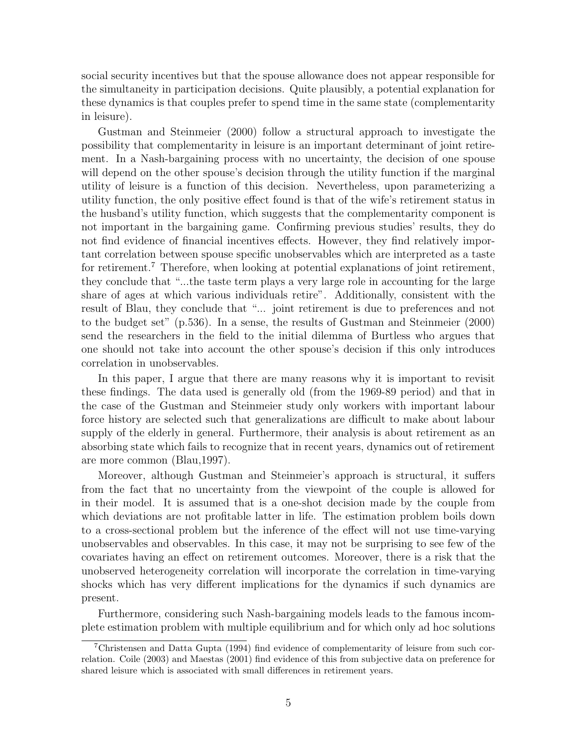social security incentives but that the spouse allowance does not appear responsible for the simultaneity in participation decisions. Quite plausibly, a potential explanation for these dynamics is that couples prefer to spend time in the same state (complementarity in leisure).

Gustman and Steinmeier (2000) follow a structural approach to investigate the possibility that complementarity in leisure is an important determinant of joint retirement. In a Nash-bargaining process with no uncertainty, the decision of one spouse will depend on the other spouse's decision through the utility function if the marginal utility of leisure is a function of this decision. Nevertheless, upon parameterizing a utility function, the only positive effect found is that of the wife's retirement status in the husband's utility function, which suggests that the complementarity component is not important in the bargaining game. Confirming previous studies' results, they do not find evidence of financial incentives effects. However, they find relatively important correlation between spouse specific unobservables which are interpreted as a taste for retirement.<sup>7</sup> Therefore, when looking at potential explanations of joint retirement, they conclude that "...the taste term plays a very large role in accounting for the large share of ages at which various individuals retire". Additionally, consistent with the result of Blau, they conclude that "... joint retirement is due to preferences and not to the budget set" (p.536). In a sense, the results of Gustman and Steinmeier (2000) send the researchers in the field to the initial dilemma of Burtless who argues that one should not take into account the other spouse's decision if this only introduces correlation in unobservables.

In this paper, I argue that there are many reasons why it is important to revisit these findings. The data used is generally old (from the 1969-89 period) and that in the case of the Gustman and Steinmeier study only workers with important labour force history are selected such that generalizations are difficult to make about labour supply of the elderly in general. Furthermore, their analysis is about retirement as an absorbing state which fails to recognize that in recent years, dynamics out of retirement are more common (Blau,1997).

Moreover, although Gustman and Steinmeier's approach is structural, it suffers from the fact that no uncertainty from the viewpoint of the couple is allowed for in their model. It is assumed that is a one-shot decision made by the couple from which deviations are not profitable latter in life. The estimation problem boils down to a cross-sectional problem but the inference of the effect will not use time-varying unobservables and observables. In this case, it may not be surprising to see few of the covariates having an effect on retirement outcomes. Moreover, there is a risk that the unobserved heterogeneity correlation will incorporate the correlation in time-varying shocks which has very different implications for the dynamics if such dynamics are present.

Furthermore, considering such Nash-bargaining models leads to the famous incomplete estimation problem with multiple equilibrium and for which only ad hoc solutions

<sup>7</sup>Christensen and Datta Gupta (1994) find evidence of complementarity of leisure from such correlation. Coile (2003) and Maestas (2001) find evidence of this from subjective data on preference for shared leisure which is associated with small differences in retirement years.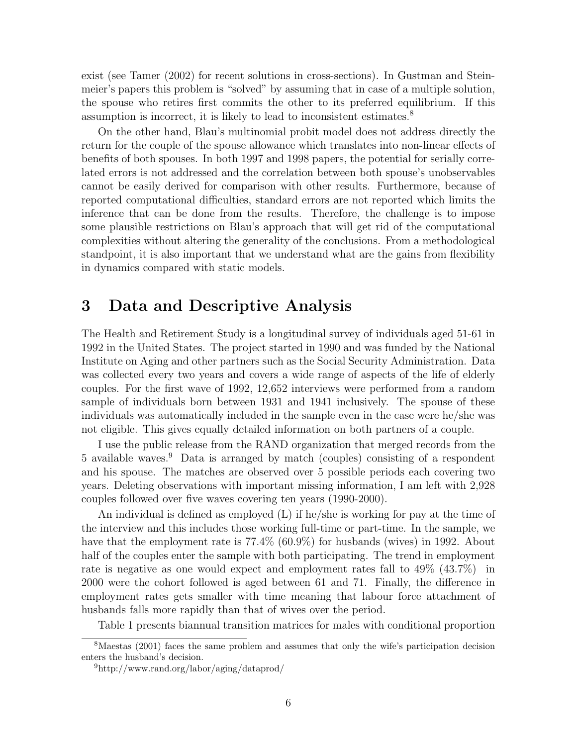exist (see Tamer (2002) for recent solutions in cross-sections). In Gustman and Steinmeier's papers this problem is "solved" by assuming that in case of a multiple solution, the spouse who retires first commits the other to its preferred equilibrium. If this assumption is incorrect, it is likely to lead to inconsistent estimates.<sup>8</sup>

On the other hand, Blau's multinomial probit model does not address directly the return for the couple of the spouse allowance which translates into non-linear effects of benefits of both spouses. In both 1997 and 1998 papers, the potential for serially correlated errors is not addressed and the correlation between both spouse's unobservables cannot be easily derived for comparison with other results. Furthermore, because of reported computational difficulties, standard errors are not reported which limits the inference that can be done from the results. Therefore, the challenge is to impose some plausible restrictions on Blau's approach that will get rid of the computational complexities without altering the generality of the conclusions. From a methodological standpoint, it is also important that we understand what are the gains from flexibility in dynamics compared with static models.

# 3 Data and Descriptive Analysis

The Health and Retirement Study is a longitudinal survey of individuals aged 51-61 in 1992 in the United States. The project started in 1990 and was funded by the National Institute on Aging and other partners such as the Social Security Administration. Data was collected every two years and covers a wide range of aspects of the life of elderly couples. For the first wave of 1992, 12,652 interviews were performed from a random sample of individuals born between 1931 and 1941 inclusively. The spouse of these individuals was automatically included in the sample even in the case were he/she was not eligible. This gives equally detailed information on both partners of a couple.

I use the public release from the RAND organization that merged records from the 5 available waves.<sup>9</sup> Data is arranged by match (couples) consisting of a respondent and his spouse. The matches are observed over 5 possible periods each covering two years. Deleting observations with important missing information, I am left with 2,928 couples followed over five waves covering ten years (1990-2000).

An individual is defined as employed (L) if he/she is working for pay at the time of the interview and this includes those working full-time or part-time. In the sample, we have that the employment rate is  $77.4\%$  (60.9%) for husbands (wives) in 1992. About half of the couples enter the sample with both participating. The trend in employment rate is negative as one would expect and employment rates fall to 49% (43.7%) in 2000 were the cohort followed is aged between 61 and 71. Finally, the difference in employment rates gets smaller with time meaning that labour force attachment of husbands falls more rapidly than that of wives over the period.

Table 1 presents biannual transition matrices for males with conditional proportion

<sup>8</sup>Maestas (2001) faces the same problem and assumes that only the wife's participation decision enters the husband's decision.

<sup>9</sup>http://www.rand.org/labor/aging/dataprod/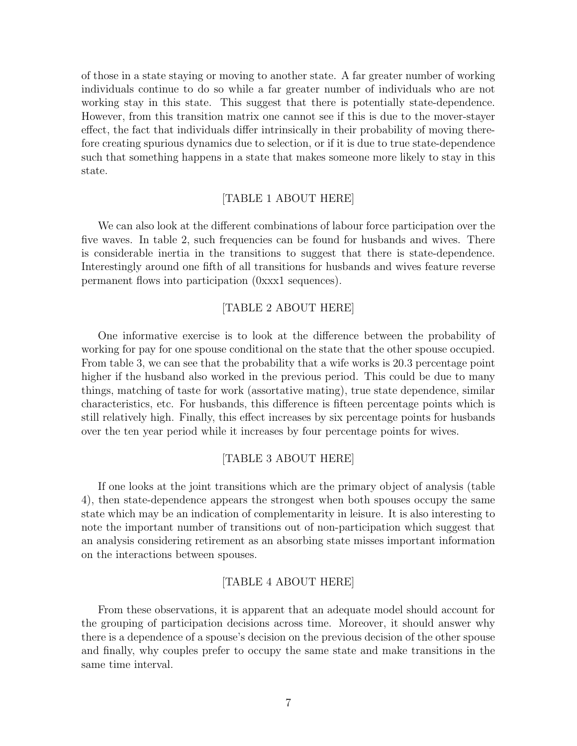of those in a state staying or moving to another state. A far greater number of working individuals continue to do so while a far greater number of individuals who are not working stay in this state. This suggest that there is potentially state-dependence. However, from this transition matrix one cannot see if this is due to the mover-stayer effect, the fact that individuals differ intrinsically in their probability of moving therefore creating spurious dynamics due to selection, or if it is due to true state-dependence such that something happens in a state that makes someone more likely to stay in this state.

#### [TABLE 1 ABOUT HERE]

We can also look at the different combinations of labour force participation over the five waves. In table 2, such frequencies can be found for husbands and wives. There is considerable inertia in the transitions to suggest that there is state-dependence. Interestingly around one fifth of all transitions for husbands and wives feature reverse permanent flows into participation (0xxx1 sequences).

#### [TABLE 2 ABOUT HERE]

One informative exercise is to look at the difference between the probability of working for pay for one spouse conditional on the state that the other spouse occupied. From table 3, we can see that the probability that a wife works is 20.3 percentage point higher if the husband also worked in the previous period. This could be due to many things, matching of taste for work (assortative mating), true state dependence, similar characteristics, etc. For husbands, this difference is fifteen percentage points which is still relatively high. Finally, this effect increases by six percentage points for husbands over the ten year period while it increases by four percentage points for wives.

#### [TABLE 3 ABOUT HERE]

If one looks at the joint transitions which are the primary object of analysis (table 4), then state-dependence appears the strongest when both spouses occupy the same state which may be an indication of complementarity in leisure. It is also interesting to note the important number of transitions out of non-participation which suggest that an analysis considering retirement as an absorbing state misses important information on the interactions between spouses.

#### [TABLE 4 ABOUT HERE]

From these observations, it is apparent that an adequate model should account for the grouping of participation decisions across time. Moreover, it should answer why there is a dependence of a spouse's decision on the previous decision of the other spouse and finally, why couples prefer to occupy the same state and make transitions in the same time interval.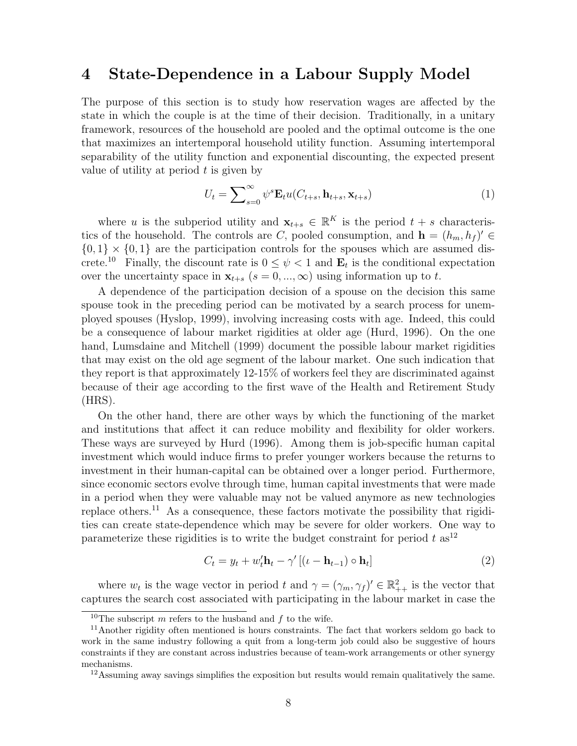## 4 State-Dependence in a Labour Supply Model

The purpose of this section is to study how reservation wages are affected by the state in which the couple is at the time of their decision. Traditionally, in a unitary framework, resources of the household are pooled and the optimal outcome is the one that maximizes an intertemporal household utility function. Assuming intertemporal separability of the utility function and exponential discounting, the expected present value of utility at period  $t$  is given by

$$
U_t = \sum_{s=0}^{\infty} \psi^s \mathbf{E}_t u(C_{t+s}, \mathbf{h}_{t+s}, \mathbf{x}_{t+s})
$$
\n(1)

where u is the subperiod utility and  $\mathbf{x}_{t+s} \in \mathbb{R}^K$  is the period  $t+s$  characteristics of the household. The controls are C, pooled consumption, and  $\mathbf{h} = (h_m, h_f)' \in$  ${0, 1} \times {0, 1}$  are the participation controls for the spouses which are assumed discrete.<sup>10</sup> Finally, the discount rate is  $0 \leq \psi < 1$  and  $\mathbf{E}_t$  is the conditional expectation over the uncertainty space in  $\mathbf{x}_{t+s}$  ( $s = 0, ..., \infty$ ) using information up to t.

A dependence of the participation decision of a spouse on the decision this same spouse took in the preceding period can be motivated by a search process for unemployed spouses (Hyslop, 1999), involving increasing costs with age. Indeed, this could be a consequence of labour market rigidities at older age (Hurd, 1996). On the one hand, Lumsdaine and Mitchell (1999) document the possible labour market rigidities that may exist on the old age segment of the labour market. One such indication that they report is that approximately 12-15% of workers feel they are discriminated against because of their age according to the first wave of the Health and Retirement Study (HRS).

On the other hand, there are other ways by which the functioning of the market and institutions that affect it can reduce mobility and flexibility for older workers. These ways are surveyed by Hurd (1996). Among them is job-specific human capital investment which would induce firms to prefer younger workers because the returns to investment in their human-capital can be obtained over a longer period. Furthermore, since economic sectors evolve through time, human capital investments that were made in a period when they were valuable may not be valued anymore as new technologies replace others.<sup>11</sup> As a consequence, these factors motivate the possibility that rigidities can create state-dependence which may be severe for older workers. One way to parameterize these rigidities is to write the budget constraint for period  $t$  as<sup>12</sup>

$$
C_t = y_t + w_t' \mathbf{h}_t - \gamma' \left[ (\iota - \mathbf{h}_{t-1}) \circ \mathbf{h}_t \right]
$$
 (2)

where  $w_t$  is the wage vector in period t and  $\gamma = (\gamma_m, \gamma_f)' \in \mathbb{R}^2_{++}$  is the vector that captures the search cost associated with participating in the labour market in case the

<sup>&</sup>lt;sup>10</sup>The subscript m refers to the husband and f to the wife.

<sup>&</sup>lt;sup>11</sup> Another rigidity often mentioned is hours constraints. The fact that workers seldom go back to work in the same industry following a quit from a long-term job could also be suggestive of hours constraints if they are constant across industries because of team-work arrangements or other synergy mechanisms.

<sup>&</sup>lt;sup>12</sup>Assuming away savings simplifies the exposition but results would remain qualitatively the same.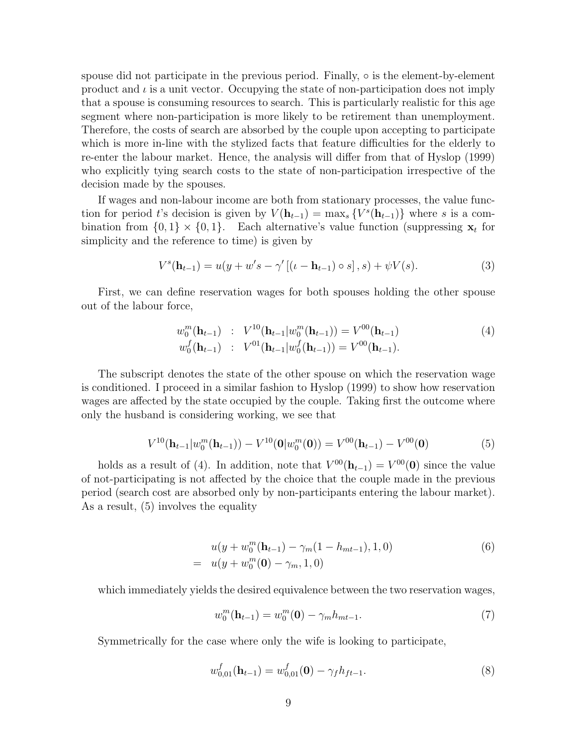spouse did not participate in the previous period. Finally,  $\circ$  is the element-by-element product and  $\iota$  is a unit vector. Occupying the state of non-participation does not imply that a spouse is consuming resources to search. This is particularly realistic for this age segment where non-participation is more likely to be retirement than unemployment. Therefore, the costs of search are absorbed by the couple upon accepting to participate which is more in-line with the stylized facts that feature difficulties for the elderly to re-enter the labour market. Hence, the analysis will differ from that of Hyslop (1999) who explicitly tying search costs to the state of non-participation irrespective of the decision made by the spouses.

If wages and non-labour income are both from stationary processes, the value function for period t's decision is given by  $V(\mathbf{h}_{t-1}) = \max_s \{ V^s(\mathbf{h}_{t-1}) \}$  where s is a combination from  $\{0,1\} \times \{0,1\}$ . Each alternative's value function (suppressing  $\mathbf{x}_t$  for simplicity and the reference to time) is given by

$$
V^{s}(\mathbf{h}_{t-1}) = u(y + w's - \gamma'[(\iota - \mathbf{h}_{t-1}) \circ s], s) + \psi V(s).
$$
 (3)

First, we can define reservation wages for both spouses holding the other spouse out of the labour force,

$$
w_0^m(\mathbf{h}_{t-1}) \; : \; V^{10}(\mathbf{h}_{t-1}|w_0^m(\mathbf{h}_{t-1})) = V^{00}(\mathbf{h}_{t-1}) w_0^f(\mathbf{h}_{t-1}) \; : \; V^{01}(\mathbf{h}_{t-1}|w_0^f(\mathbf{h}_{t-1})) = V^{00}(\mathbf{h}_{t-1}).
$$
\n(4)

The subscript denotes the state of the other spouse on which the reservation wage is conditioned. I proceed in a similar fashion to Hyslop (1999) to show how reservation wages are affected by the state occupied by the couple. Taking first the outcome where only the husband is considering working, we see that

$$
V^{10}(\mathbf{h}_{t-1}|w_0^m(\mathbf{h}_{t-1})) - V^{10}(\mathbf{0}|w_0^m(\mathbf{0})) = V^{00}(\mathbf{h}_{t-1}) - V^{00}(\mathbf{0})
$$
(5)

holds as a result of (4). In addition, note that  $V^{00}(\mathbf{h}_{t-1}) = V^{00}(\mathbf{0})$  since the value of not-participating is not affected by the choice that the couple made in the previous period (search cost are absorbed only by non-participants entering the labour market). As a result, (5) involves the equality

$$
u(y + w_0^m(\mathbf{h}_{t-1}) - \gamma_m(1 - h_{mt-1}), 1, 0)
$$
  
= 
$$
u(y + w_0^m(\mathbf{0}) - \gamma_m, 1, 0)
$$
 (6)

which immediately yields the desired equivalence between the two reservation wages,

$$
w_0^m(\mathbf{h}_{t-1}) = w_0^m(\mathbf{0}) - \gamma_m h_{mt-1}.
$$
\n(7)

Symmetrically for the case where only the wife is looking to participate,

$$
w_{0,01}^f(\mathbf{h}_{t-1}) = w_{0,01}^f(\mathbf{0}) - \gamma_f h_{ft-1}.
$$
\n(8)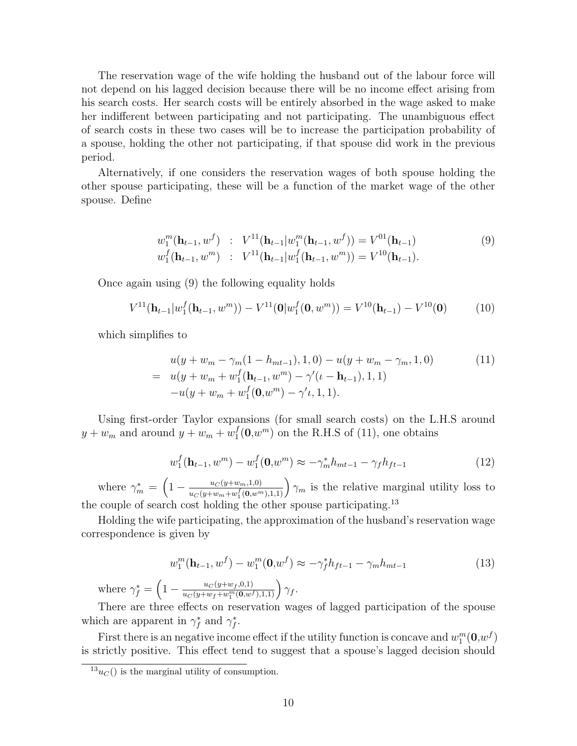The reservation wage of the wife holding the husband out of the labour force will not depend on his lagged decision because there will be no income effect arising from his search costs. Her search costs will be entirely absorbed in the wage asked to make her indifferent between participating and not participating. The unambiguous effect of search costs in these two cases will be to increase the participation probability of a spouse, holding the other not participating, if that spouse did work in the previous period.

Alternatively, if one considers the reservation wages of both spouse holding the other spouse participating, these will be a function of the market wage of the other spouse. Define

$$
w_1^m(\mathbf{h}_{t-1}, w^f) : V^{11}(\mathbf{h}_{t-1}|w_1^m(\mathbf{h}_{t-1}, w^f)) = V^{01}(\mathbf{h}_{t-1})
$$
  
\n
$$
w_1^f(\mathbf{h}_{t-1}, w^m) : V^{11}(\mathbf{h}_{t-1}|w_1^f(\mathbf{h}_{t-1}, w^m)) = V^{10}(\mathbf{h}_{t-1}).
$$
\n(9)

Once again using (9) the following equality holds

$$
V^{11}(\mathbf{h}_{t-1}|w_1^f(\mathbf{h}_{t-1},w^m)) - V^{11}(\mathbf{0}|w_1^f(\mathbf{0},w^m)) = V^{10}(\mathbf{h}_{t-1}) - V^{10}(\mathbf{0})
$$
 (10)

which simplifies to

$$
u(y + w_m - \gamma_m(1 - h_{mt-1}), 1, 0) - u(y + w_m - \gamma_m, 1, 0)
$$
  
= 
$$
u(y + w_m + w_1^f(\mathbf{h}_{t-1}, w^m) - \gamma'(\iota - \mathbf{h}_{t-1}), 1, 1)
$$
  

$$
-u(y + w_m + w_1^f(\mathbf{0}, w^m) - \gamma' \iota, 1, 1).
$$
 (11)

Using first-order Taylor expansions (for small search costs) on the L.H.S around  $y + w_m$  and around  $y + w_m + w_1^f$  $_{1}^{f}(\mathbf{0},w^{m})$  on the R.H.S of (11), one obtains

$$
w_1^f(\mathbf{h}_{t-1}, w^m) - w_1^f(\mathbf{0}, w^m) \approx -\gamma_m^* h_{mt-1} - \gamma_f h_{ft-1}
$$
\n(12)

where  $\gamma_m^* =$  $\overline{a}$  $1 - \frac{u_C(y+w_m,1,0)}{f(\alpha_m)}$  $\frac{u_C(y+w_m,1,0)}{u_C(y+w_m+w_1^f(0,w^m),1,1)}$   $\gamma_m$  is the relative marginal utility loss to the couple of search cost holding the other spouse participating.<sup>13</sup>

Holding the wife participating, the approximation of the husband's reservation wage correspondence is given by

$$
w_1^m(\mathbf{h}_{t-1}, w^f) - w_1^m(\mathbf{0}, w^f) \approx -\gamma_f^* h_{ft-1} - \gamma_m h_{mt-1}
$$
\n(13)

where  $\gamma_f^* =$  $\overline{a}$  $1-\frac{u_C(y+w_f,0,1)}{u_C(y+w_f+w^m(0,w))}$  $\frac{u_C(y+w_f,0,1)}{u_C(y+w_f+w_1^m(\mathbf{0},w^f),1,1)}\bigg) \gamma_f.$ 

There are three effects on reservation wages of lagged participation of the spouse which are apparent in  $\gamma_f^*$  and  $\gamma_f^*$ .

First there is an negative income effect if the utility function is concave and  $w_1^m(\mathbf{0}, w^f)$ is strictly positive. This effect tend to suggest that a spouse's lagged decision should

 $13u<sub>C</sub>()$  is the marginal utility of consumption.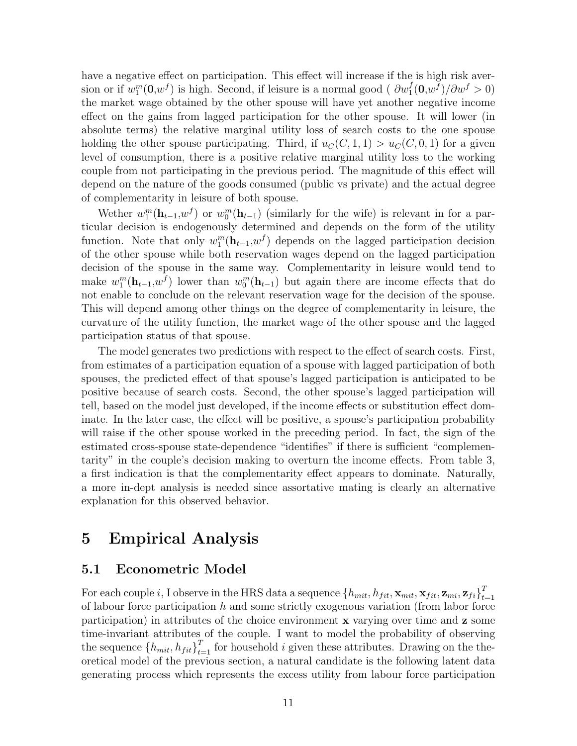have a negative effect on participation. This effect will increase if the is high risk aversion or if  $w_1^m(0, w^f)$  is high. Second, if leisure is a normal good (  $\partial w_1^f(0, w^f) / \partial w^f > 0$ ) the market wage obtained by the other spouse will have yet another negative income effect on the gains from lagged participation for the other spouse. It will lower (in absolute terms) the relative marginal utility loss of search costs to the one spouse holding the other spouse participating. Third, if  $u_C(C, 1, 1) > u_C(C, 0, 1)$  for a given level of consumption, there is a positive relative marginal utility loss to the working couple from not participating in the previous period. The magnitude of this effect will depend on the nature of the goods consumed (public vs private) and the actual degree of complementarity in leisure of both spouse.

Wether  $w_1^m(\mathbf{h}_{t-1}, w^f)$  or  $w_0^m(\mathbf{h}_{t-1})$  (similarly for the wife) is relevant in for a particular decision is endogenously determined and depends on the form of the utility function. Note that only  $w_1^m(\mathbf{h}_{t-1}, w_f)$  depends on the lagged participation decision of the other spouse while both reservation wages depend on the lagged participation decision of the spouse in the same way. Complementarity in leisure would tend to make  $w_1^m(\mathbf{h}_{t-1}, w^f)$  lower than  $w_0^m(\mathbf{h}_{t-1})$  but again there are income effects that do not enable to conclude on the relevant reservation wage for the decision of the spouse. This will depend among other things on the degree of complementarity in leisure, the curvature of the utility function, the market wage of the other spouse and the lagged participation status of that spouse.

The model generates two predictions with respect to the effect of search costs. First, from estimates of a participation equation of a spouse with lagged participation of both spouses, the predicted effect of that spouse's lagged participation is anticipated to be positive because of search costs. Second, the other spouse's lagged participation will tell, based on the model just developed, if the income effects or substitution effect dominate. In the later case, the effect will be positive, a spouse's participation probability will raise if the other spouse worked in the preceding period. In fact, the sign of the estimated cross-spouse state-dependence "identifies" if there is sufficient "complementarity" in the couple's decision making to overturn the income effects. From table 3, a first indication is that the complementarity effect appears to dominate. Naturally, a more in-dept analysis is needed since assortative mating is clearly an alternative explanation for this observed behavior.

# 5 Empirical Analysis

#### 5.1 Econometric Model

For each couple i, I observe in the HRS data a sequence  $\{h_{mit}, h_{fit}, \mathbf{x}_{mit}, \mathbf{x}_{fit}, \mathbf{z}_{mi}, \mathbf{z}_{fi}\}_{t}^T$  $t=1$ of labour force participation  $h$  and some strictly exogenous variation (from labor force participation) in attributes of the choice environment x varying over time and z some time-invariant attributes of the couple. I want to model the probability of observing the sequence  ${h_{mit}, h_{fit}}_{t=1}^T$  for household *i* given these attributes. Drawing on the theoretical model of the previous section, a natural candidate is the following latent data generating process which represents the excess utility from labour force participation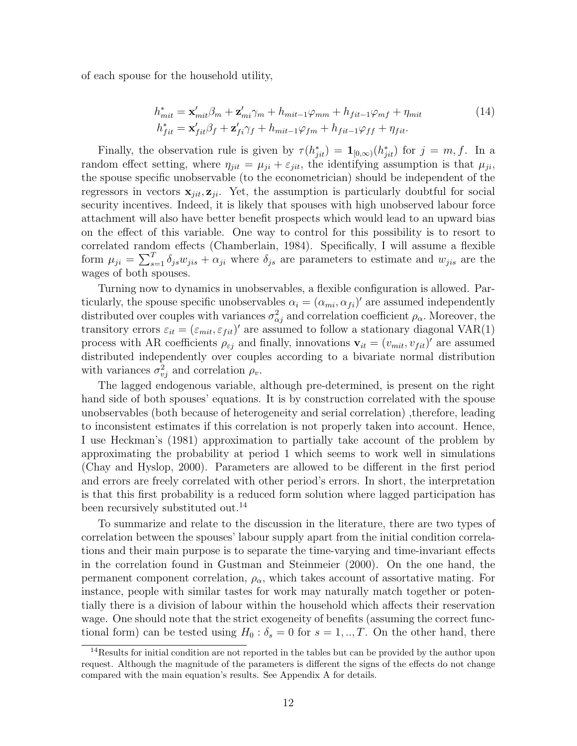of each spouse for the household utility,

$$
h_{mit}^* = \mathbf{x}'_{mit} \beta_m + \mathbf{z}'_{mi} \gamma_m + h_{mit-1} \varphi_{mm} + h_{fit-1} \varphi_{mf} + \eta_{mit}
$$
  
\n
$$
h_{fit}^* = \mathbf{x}'_{fit} \beta_f + \mathbf{z}'_{fi} \gamma_f + h_{mit-1} \varphi_{fm} + h_{fit-1} \varphi_{ff} + \eta_{fit}.
$$
\n(14)

Finally, the observation rule is given by  $\tau(h_{jit}^*) = \mathbf{1}_{[0,\infty)}(h_{jit}^*)$  for  $j = m, f$ . In a random effect setting, where  $\eta_{jit} = \mu_{ji} + \varepsilon_{jit}$ , the identifying assumption is that  $\mu_{ji}$ , the spouse specific unobservable (to the econometrician) should be independent of the regressors in vectors  $\mathbf{x}_{jit}, \mathbf{z}_{ji}$ . Yet, the assumption is particularly doubtful for social security incentives. Indeed, it is likely that spouses with high unobserved labour force attachment will also have better benefit prospects which would lead to an upward bias on the effect of this variable. One way to control for this possibility is to resort to correlated random effects (Chamberlain, 1984). Specifically, I will assume a flexible correlated rand<br>form  $\mu_{ji} = \sum_{s}^{T}$  $\sum_{s=1}^{T} \delta_{js} w_{jis} + \alpha_{ji}$  where  $\delta_{js}$  are parameters to estimate and  $w_{jis}$  are the wages of both spouses.

Turning now to dynamics in unobservables, a flexible configuration is allowed. Particularly, the spouse specific unobservables  $\alpha_i = (\alpha_{mi}, \alpha_{fi})'$  are assumed independently distributed over couples with variances  $\sigma_{\alpha j}^2$  and correlation coefficient  $\rho_{\alpha}$ . Moreover, the transitory errors  $\varepsilon_{it} = (\varepsilon_{mit}, \varepsilon_{fit})'$  are assumed to follow a stationary diagonal VAR(1) process with AR coefficients  $\rho_{\varepsilon j}$  and finally, innovations  $\mathbf{v}_{it} = (v_{mit}, v_{fit})'$  are assumed distributed independently over couples according to a bivariate normal distribution with variances  $\sigma_{vj}^2$  and correlation  $\rho_v$ .

The lagged endogenous variable, although pre-determined, is present on the right hand side of both spouses' equations. It is by construction correlated with the spouse unobservables (both because of heterogeneity and serial correlation) ,therefore, leading to inconsistent estimates if this correlation is not properly taken into account. Hence, I use Heckman's (1981) approximation to partially take account of the problem by approximating the probability at period 1 which seems to work well in simulations (Chay and Hyslop, 2000). Parameters are allowed to be different in the first period and errors are freely correlated with other period's errors. In short, the interpretation is that this first probability is a reduced form solution where lagged participation has been recursively substituted out.<sup>14</sup>

To summarize and relate to the discussion in the literature, there are two types of correlation between the spouses' labour supply apart from the initial condition correlations and their main purpose is to separate the time-varying and time-invariant effects in the correlation found in Gustman and Steinmeier (2000). On the one hand, the permanent component correlation,  $\rho_{\alpha}$ , which takes account of assortative mating. For instance, people with similar tastes for work may naturally match together or potentially there is a division of labour within the household which affects their reservation wage. One should note that the strict exogeneity of benefits (assuming the correct functional form) can be tested using  $H_0$ :  $\delta_s = 0$  for  $s = 1, ..., T$ . On the other hand, there

<sup>&</sup>lt;sup>14</sup>Results for initial condition are not reported in the tables but can be provided by the author upon request. Although the magnitude of the parameters is different the signs of the effects do not change compared with the main equation's results. See Appendix A for details.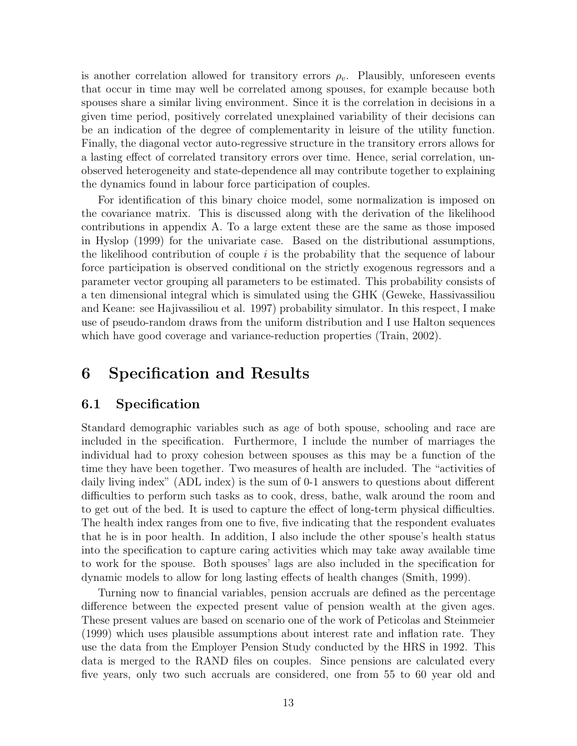is another correlation allowed for transitory errors  $\rho_v$ . Plausibly, unforeseen events that occur in time may well be correlated among spouses, for example because both spouses share a similar living environment. Since it is the correlation in decisions in a given time period, positively correlated unexplained variability of their decisions can be an indication of the degree of complementarity in leisure of the utility function. Finally, the diagonal vector auto-regressive structure in the transitory errors allows for a lasting effect of correlated transitory errors over time. Hence, serial correlation, unobserved heterogeneity and state-dependence all may contribute together to explaining the dynamics found in labour force participation of couples.

For identification of this binary choice model, some normalization is imposed on the covariance matrix. This is discussed along with the derivation of the likelihood contributions in appendix A. To a large extent these are the same as those imposed in Hyslop (1999) for the univariate case. Based on the distributional assumptions, the likelihood contribution of couple  $i$  is the probability that the sequence of labour force participation is observed conditional on the strictly exogenous regressors and a parameter vector grouping all parameters to be estimated. This probability consists of a ten dimensional integral which is simulated using the GHK (Geweke, Hassivassiliou and Keane: see Hajivassiliou et al. 1997) probability simulator. In this respect, I make use of pseudo-random draws from the uniform distribution and I use Halton sequences which have good coverage and variance-reduction properties (Train, 2002).

# 6 Specification and Results

#### 6.1 Specification

Standard demographic variables such as age of both spouse, schooling and race are included in the specification. Furthermore, I include the number of marriages the individual had to proxy cohesion between spouses as this may be a function of the time they have been together. Two measures of health are included. The "activities of daily living index" (ADL index) is the sum of 0-1 answers to questions about different difficulties to perform such tasks as to cook, dress, bathe, walk around the room and to get out of the bed. It is used to capture the effect of long-term physical difficulties. The health index ranges from one to five, five indicating that the respondent evaluates that he is in poor health. In addition, I also include the other spouse's health status into the specification to capture caring activities which may take away available time to work for the spouse. Both spouses' lags are also included in the specification for dynamic models to allow for long lasting effects of health changes (Smith, 1999).

Turning now to financial variables, pension accruals are defined as the percentage difference between the expected present value of pension wealth at the given ages. These present values are based on scenario one of the work of Peticolas and Steinmeier (1999) which uses plausible assumptions about interest rate and inflation rate. They use the data from the Employer Pension Study conducted by the HRS in 1992. This data is merged to the RAND files on couples. Since pensions are calculated every five years, only two such accruals are considered, one from 55 to 60 year old and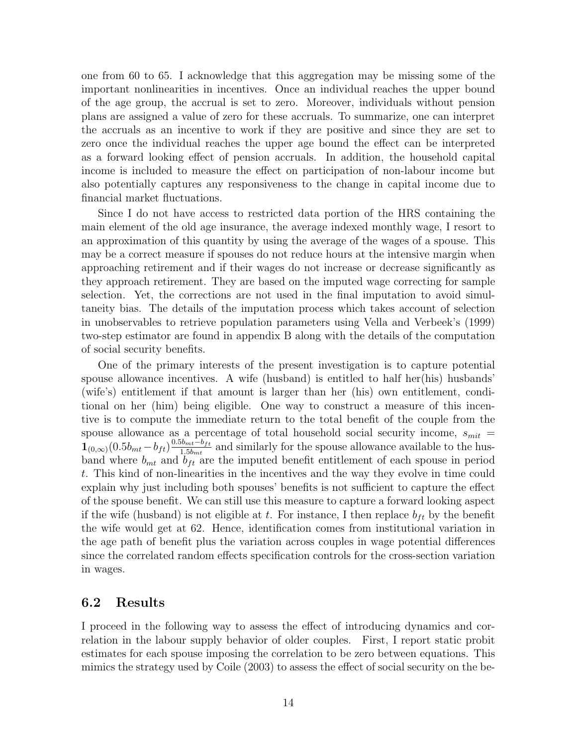one from 60 to 65. I acknowledge that this aggregation may be missing some of the important nonlinearities in incentives. Once an individual reaches the upper bound of the age group, the accrual is set to zero. Moreover, individuals without pension plans are assigned a value of zero for these accruals. To summarize, one can interpret the accruals as an incentive to work if they are positive and since they are set to zero once the individual reaches the upper age bound the effect can be interpreted as a forward looking effect of pension accruals. In addition, the household capital income is included to measure the effect on participation of non-labour income but also potentially captures any responsiveness to the change in capital income due to financial market fluctuations.

Since I do not have access to restricted data portion of the HRS containing the main element of the old age insurance, the average indexed monthly wage, I resort to an approximation of this quantity by using the average of the wages of a spouse. This may be a correct measure if spouses do not reduce hours at the intensive margin when approaching retirement and if their wages do not increase or decrease significantly as they approach retirement. They are based on the imputed wage correcting for sample selection. Yet, the corrections are not used in the final imputation to avoid simultaneity bias. The details of the imputation process which takes account of selection in unobservables to retrieve population parameters using Vella and Verbeek's (1999) two-step estimator are found in appendix B along with the details of the computation of social security benefits.

One of the primary interests of the present investigation is to capture potential spouse allowance incentives. A wife (husband) is entitled to half her(his) husbands' (wife's) entitlement if that amount is larger than her (his) own entitlement, conditional on her (him) being eligible. One way to construct a measure of this incentive is to compute the immediate return to the total benefit of the couple from the spouse allowance as a percentage of total household social security income,  $s_{mit}$  =  $\mathbf{1}_{(0,\infty)}(0.5b_{mt}-b_{ft})\frac{0.5b_{mt}-b_{ft}}{1.5b_{mt}}$  $\frac{1.5b_{mt}-b_{ft}}{1.5b_{mt}}$  and similarly for the spouse allowance available to the husband where  $b_{mt}$  and  $b_{ft}$  are the imputed benefit entitlement of each spouse in period t. This kind of non-linearities in the incentives and the way they evolve in time could explain why just including both spouses' benefits is not sufficient to capture the effect of the spouse benefit. We can still use this measure to capture a forward looking aspect if the wife (husband) is not eligible at t. For instance, I then replace  $b_{ft}$  by the benefit the wife would get at 62. Hence, identification comes from institutional variation in the age path of benefit plus the variation across couples in wage potential differences since the correlated random effects specification controls for the cross-section variation in wages.

#### 6.2 Results

I proceed in the following way to assess the effect of introducing dynamics and correlation in the labour supply behavior of older couples. First, I report static probit estimates for each spouse imposing the correlation to be zero between equations. This mimics the strategy used by Coile (2003) to assess the effect of social security on the be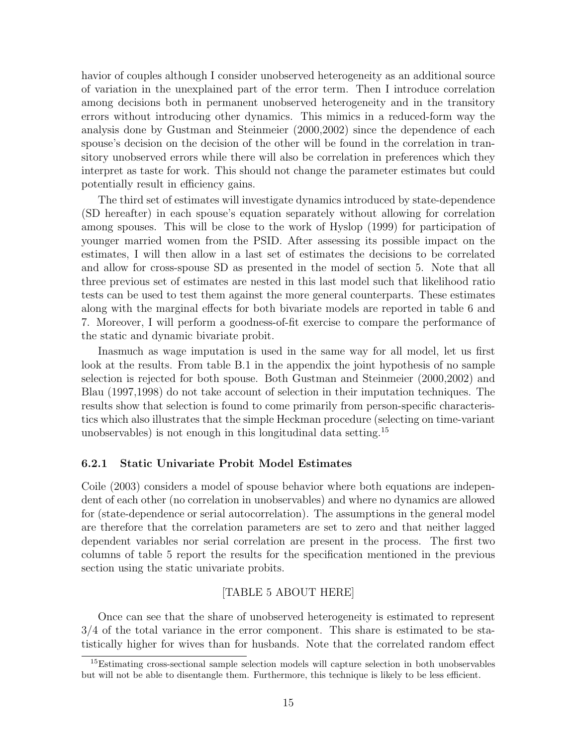havior of couples although I consider unobserved heterogeneity as an additional source of variation in the unexplained part of the error term. Then I introduce correlation among decisions both in permanent unobserved heterogeneity and in the transitory errors without introducing other dynamics. This mimics in a reduced-form way the analysis done by Gustman and Steinmeier (2000,2002) since the dependence of each spouse's decision on the decision of the other will be found in the correlation in transitory unobserved errors while there will also be correlation in preferences which they interpret as taste for work. This should not change the parameter estimates but could potentially result in efficiency gains.

The third set of estimates will investigate dynamics introduced by state-dependence (SD hereafter) in each spouse's equation separately without allowing for correlation among spouses. This will be close to the work of Hyslop (1999) for participation of younger married women from the PSID. After assessing its possible impact on the estimates, I will then allow in a last set of estimates the decisions to be correlated and allow for cross-spouse SD as presented in the model of section 5. Note that all three previous set of estimates are nested in this last model such that likelihood ratio tests can be used to test them against the more general counterparts. These estimates along with the marginal effects for both bivariate models are reported in table 6 and 7. Moreover, I will perform a goodness-of-fit exercise to compare the performance of the static and dynamic bivariate probit.

Inasmuch as wage imputation is used in the same way for all model, let us first look at the results. From table B.1 in the appendix the joint hypothesis of no sample selection is rejected for both spouse. Both Gustman and Steinmeier (2000,2002) and Blau (1997,1998) do not take account of selection in their imputation techniques. The results show that selection is found to come primarily from person-specific characteristics which also illustrates that the simple Heckman procedure (selecting on time-variant unobservables) is not enough in this longitudinal data setting.<sup>15</sup>

#### 6.2.1 Static Univariate Probit Model Estimates

Coile (2003) considers a model of spouse behavior where both equations are independent of each other (no correlation in unobservables) and where no dynamics are allowed for (state-dependence or serial autocorrelation). The assumptions in the general model are therefore that the correlation parameters are set to zero and that neither lagged dependent variables nor serial correlation are present in the process. The first two columns of table 5 report the results for the specification mentioned in the previous section using the static univariate probits.

#### [TABLE 5 ABOUT HERE]

Once can see that the share of unobserved heterogeneity is estimated to represent 3/4 of the total variance in the error component. This share is estimated to be statistically higher for wives than for husbands. Note that the correlated random effect

<sup>&</sup>lt;sup>15</sup>Estimating cross-sectional sample selection models will capture selection in both unobservables but will not be able to disentangle them. Furthermore, this technique is likely to be less efficient.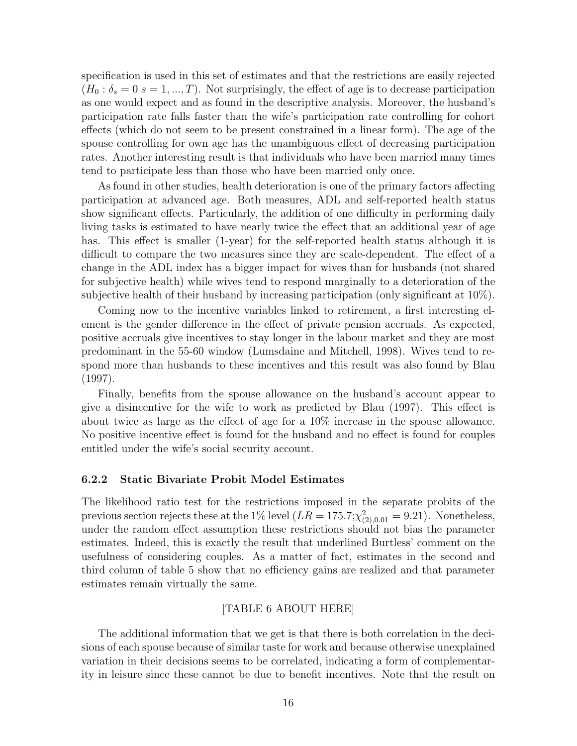specification is used in this set of estimates and that the restrictions are easily rejected  $(H_0: \delta_s = 0 \text{ s } = 1, ..., T)$ . Not surprisingly, the effect of age is to decrease participation as one would expect and as found in the descriptive analysis. Moreover, the husband's participation rate falls faster than the wife's participation rate controlling for cohort effects (which do not seem to be present constrained in a linear form). The age of the spouse controlling for own age has the unambiguous effect of decreasing participation rates. Another interesting result is that individuals who have been married many times tend to participate less than those who have been married only once.

As found in other studies, health deterioration is one of the primary factors affecting participation at advanced age. Both measures, ADL and self-reported health status show significant effects. Particularly, the addition of one difficulty in performing daily living tasks is estimated to have nearly twice the effect that an additional year of age has. This effect is smaller (1-year) for the self-reported health status although it is difficult to compare the two measures since they are scale-dependent. The effect of a change in the ADL index has a bigger impact for wives than for husbands (not shared for subjective health) while wives tend to respond marginally to a deterioration of the subjective health of their husband by increasing participation (only significant at 10%).

Coming now to the incentive variables linked to retirement, a first interesting element is the gender difference in the effect of private pension accruals. As expected, positive accruals give incentives to stay longer in the labour market and they are most predominant in the 55-60 window (Lumsdaine and Mitchell, 1998). Wives tend to respond more than husbands to these incentives and this result was also found by Blau (1997).

Finally, benefits from the spouse allowance on the husband's account appear to give a disincentive for the wife to work as predicted by Blau (1997). This effect is about twice as large as the effect of age for a 10% increase in the spouse allowance. No positive incentive effect is found for the husband and no effect is found for couples entitled under the wife's social security account.

#### 6.2.2 Static Bivariate Probit Model Estimates

The likelihood ratio test for the restrictions imposed in the separate probits of the previous section rejects these at the 1% level  $(LR = 175.7; \chi^2_{(2),0.01} = 9.21)$ . Nonetheless, under the random effect assumption these restrictions should not bias the parameter estimates. Indeed, this is exactly the result that underlined Burtless' comment on the usefulness of considering couples. As a matter of fact, estimates in the second and third column of table 5 show that no efficiency gains are realized and that parameter estimates remain virtually the same.

#### [TABLE 6 ABOUT HERE]

The additional information that we get is that there is both correlation in the decisions of each spouse because of similar taste for work and because otherwise unexplained variation in their decisions seems to be correlated, indicating a form of complementarity in leisure since these cannot be due to benefit incentives. Note that the result on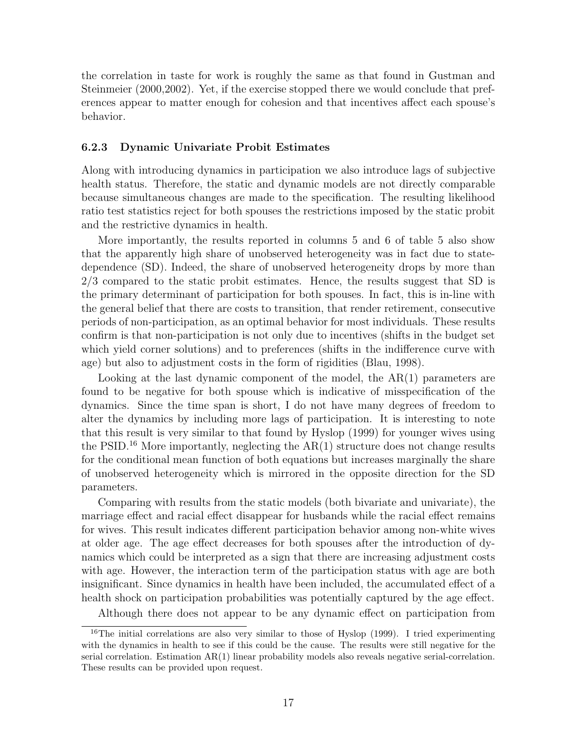the correlation in taste for work is roughly the same as that found in Gustman and Steinmeier (2000,2002). Yet, if the exercise stopped there we would conclude that preferences appear to matter enough for cohesion and that incentives affect each spouse's behavior.

#### 6.2.3 Dynamic Univariate Probit Estimates

Along with introducing dynamics in participation we also introduce lags of subjective health status. Therefore, the static and dynamic models are not directly comparable because simultaneous changes are made to the specification. The resulting likelihood ratio test statistics reject for both spouses the restrictions imposed by the static probit and the restrictive dynamics in health.

More importantly, the results reported in columns 5 and 6 of table 5 also show that the apparently high share of unobserved heterogeneity was in fact due to statedependence (SD). Indeed, the share of unobserved heterogeneity drops by more than 2/3 compared to the static probit estimates. Hence, the results suggest that SD is the primary determinant of participation for both spouses. In fact, this is in-line with the general belief that there are costs to transition, that render retirement, consecutive periods of non-participation, as an optimal behavior for most individuals. These results confirm is that non-participation is not only due to incentives (shifts in the budget set which yield corner solutions) and to preferences (shifts in the indifference curve with age) but also to adjustment costs in the form of rigidities (Blau, 1998).

Looking at the last dynamic component of the model, the  $AR(1)$  parameters are found to be negative for both spouse which is indicative of misspecification of the dynamics. Since the time span is short, I do not have many degrees of freedom to alter the dynamics by including more lags of participation. It is interesting to note that this result is very similar to that found by Hyslop (1999) for younger wives using the PSID.<sup>16</sup> More importantly, neglecting the  $AR(1)$  structure does not change results for the conditional mean function of both equations but increases marginally the share of unobserved heterogeneity which is mirrored in the opposite direction for the SD parameters.

Comparing with results from the static models (both bivariate and univariate), the marriage effect and racial effect disappear for husbands while the racial effect remains for wives. This result indicates different participation behavior among non-white wives at older age. The age effect decreases for both spouses after the introduction of dynamics which could be interpreted as a sign that there are increasing adjustment costs with age. However, the interaction term of the participation status with age are both insignificant. Since dynamics in health have been included, the accumulated effect of a health shock on participation probabilities was potentially captured by the age effect.

Although there does not appear to be any dynamic effect on participation from

<sup>&</sup>lt;sup>16</sup>The initial correlations are also very similar to those of Hyslop (1999). I tried experimenting with the dynamics in health to see if this could be the cause. The results were still negative for the serial correlation. Estimation AR(1) linear probability models also reveals negative serial-correlation. These results can be provided upon request.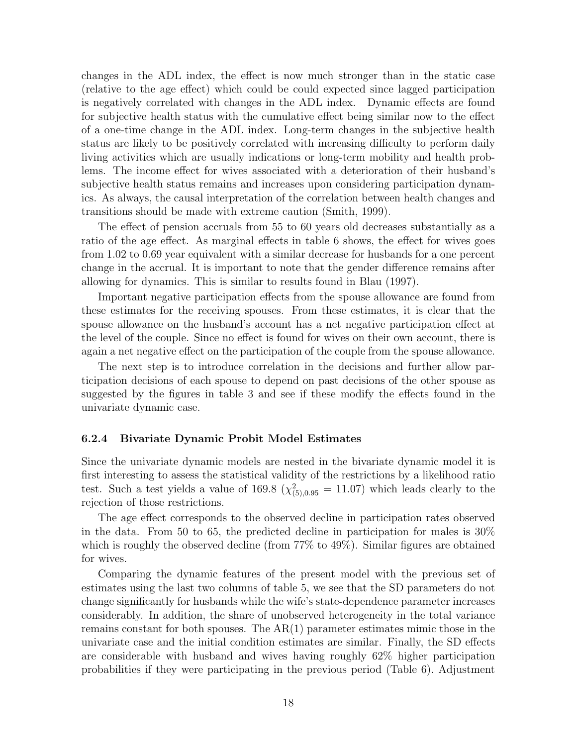changes in the ADL index, the effect is now much stronger than in the static case (relative to the age effect) which could be could expected since lagged participation is negatively correlated with changes in the ADL index. Dynamic effects are found for subjective health status with the cumulative effect being similar now to the effect of a one-time change in the ADL index. Long-term changes in the subjective health status are likely to be positively correlated with increasing difficulty to perform daily living activities which are usually indications or long-term mobility and health problems. The income effect for wives associated with a deterioration of their husband's subjective health status remains and increases upon considering participation dynamics. As always, the causal interpretation of the correlation between health changes and transitions should be made with extreme caution (Smith, 1999).

The effect of pension accruals from 55 to 60 years old decreases substantially as a ratio of the age effect. As marginal effects in table 6 shows, the effect for wives goes from 1.02 to 0.69 year equivalent with a similar decrease for husbands for a one percent change in the accrual. It is important to note that the gender difference remains after allowing for dynamics. This is similar to results found in Blau (1997).

Important negative participation effects from the spouse allowance are found from these estimates for the receiving spouses. From these estimates, it is clear that the spouse allowance on the husband's account has a net negative participation effect at the level of the couple. Since no effect is found for wives on their own account, there is again a net negative effect on the participation of the couple from the spouse allowance.

The next step is to introduce correlation in the decisions and further allow participation decisions of each spouse to depend on past decisions of the other spouse as suggested by the figures in table 3 and see if these modify the effects found in the univariate dynamic case.

#### 6.2.4 Bivariate Dynamic Probit Model Estimates

Since the univariate dynamic models are nested in the bivariate dynamic model it is first interesting to assess the statistical validity of the restrictions by a likelihood ratio test. Such a test yields a value of 169.8 ( $\chi^2_{(5),0.95} = 11.07$ ) which leads clearly to the rejection of those restrictions.

The age effect corresponds to the observed decline in participation rates observed in the data. From 50 to 65, the predicted decline in participation for males is 30% which is roughly the observed decline (from 77% to 49%). Similar figures are obtained for wives.

Comparing the dynamic features of the present model with the previous set of estimates using the last two columns of table 5, we see that the SD parameters do not change significantly for husbands while the wife's state-dependence parameter increases considerably. In addition, the share of unobserved heterogeneity in the total variance remains constant for both spouses. The AR(1) parameter estimates mimic those in the univariate case and the initial condition estimates are similar. Finally, the SD effects are considerable with husband and wives having roughly 62% higher participation probabilities if they were participating in the previous period (Table 6). Adjustment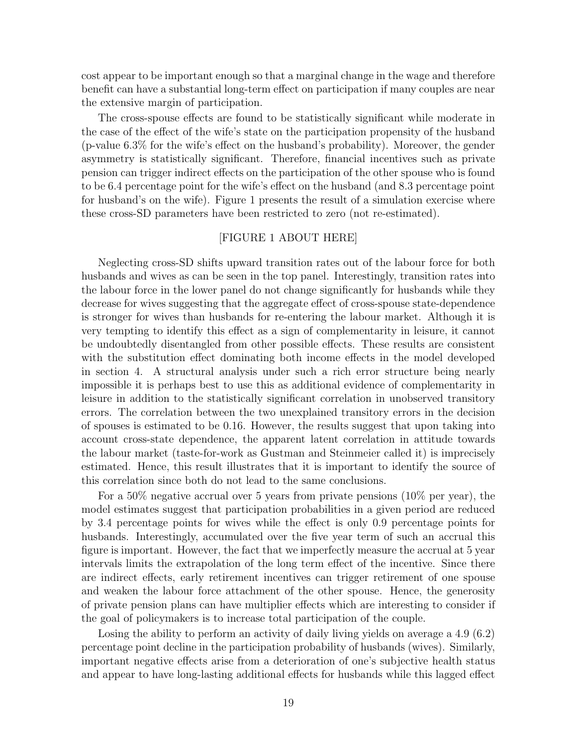cost appear to be important enough so that a marginal change in the wage and therefore benefit can have a substantial long-term effect on participation if many couples are near the extensive margin of participation.

The cross-spouse effects are found to be statistically significant while moderate in the case of the effect of the wife's state on the participation propensity of the husband (p-value 6.3% for the wife's effect on the husband's probability). Moreover, the gender asymmetry is statistically significant. Therefore, financial incentives such as private pension can trigger indirect effects on the participation of the other spouse who is found to be 6.4 percentage point for the wife's effect on the husband (and 8.3 percentage point for husband's on the wife). Figure 1 presents the result of a simulation exercise where these cross-SD parameters have been restricted to zero (not re-estimated).

#### [FIGURE 1 ABOUT HERE]

Neglecting cross-SD shifts upward transition rates out of the labour force for both husbands and wives as can be seen in the top panel. Interestingly, transition rates into the labour force in the lower panel do not change significantly for husbands while they decrease for wives suggesting that the aggregate effect of cross-spouse state-dependence is stronger for wives than husbands for re-entering the labour market. Although it is very tempting to identify this effect as a sign of complementarity in leisure, it cannot be undoubtedly disentangled from other possible effects. These results are consistent with the substitution effect dominating both income effects in the model developed in section 4. A structural analysis under such a rich error structure being nearly impossible it is perhaps best to use this as additional evidence of complementarity in leisure in addition to the statistically significant correlation in unobserved transitory errors. The correlation between the two unexplained transitory errors in the decision of spouses is estimated to be 0.16. However, the results suggest that upon taking into account cross-state dependence, the apparent latent correlation in attitude towards the labour market (taste-for-work as Gustman and Steinmeier called it) is imprecisely estimated. Hence, this result illustrates that it is important to identify the source of this correlation since both do not lead to the same conclusions.

For a 50% negative accrual over 5 years from private pensions (10% per year), the model estimates suggest that participation probabilities in a given period are reduced by 3.4 percentage points for wives while the effect is only 0.9 percentage points for husbands. Interestingly, accumulated over the five year term of such an accrual this figure is important. However, the fact that we imperfectly measure the accrual at 5 year intervals limits the extrapolation of the long term effect of the incentive. Since there are indirect effects, early retirement incentives can trigger retirement of one spouse and weaken the labour force attachment of the other spouse. Hence, the generosity of private pension plans can have multiplier effects which are interesting to consider if the goal of policymakers is to increase total participation of the couple.

Losing the ability to perform an activity of daily living yields on average a 4.9 (6.2) percentage point decline in the participation probability of husbands (wives). Similarly, important negative effects arise from a deterioration of one's subjective health status and appear to have long-lasting additional effects for husbands while this lagged effect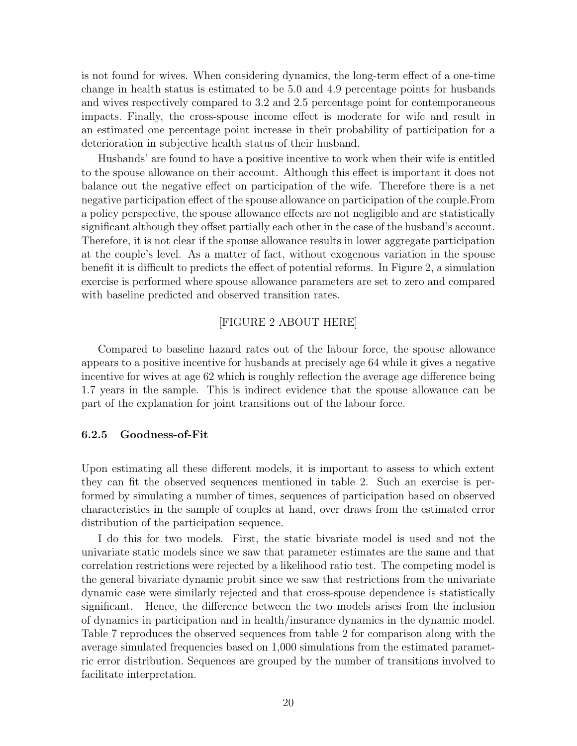is not found for wives. When considering dynamics, the long-term effect of a one-time change in health status is estimated to be 5.0 and 4.9 percentage points for husbands and wives respectively compared to 3.2 and 2.5 percentage point for contemporaneous impacts. Finally, the cross-spouse income effect is moderate for wife and result in an estimated one percentage point increase in their probability of participation for a deterioration in subjective health status of their husband.

Husbands' are found to have a positive incentive to work when their wife is entitled to the spouse allowance on their account. Although this effect is important it does not balance out the negative effect on participation of the wife. Therefore there is a net negative participation effect of the spouse allowance on participation of the couple.From a policy perspective, the spouse allowance effects are not negligible and are statistically significant although they offset partially each other in the case of the husband's account. Therefore, it is not clear if the spouse allowance results in lower aggregate participation at the couple's level. As a matter of fact, without exogenous variation in the spouse benefit it is difficult to predicts the effect of potential reforms. In Figure 2, a simulation exercise is performed where spouse allowance parameters are set to zero and compared with baseline predicted and observed transition rates.

#### [FIGURE 2 ABOUT HERE]

Compared to baseline hazard rates out of the labour force, the spouse allowance appears to a positive incentive for husbands at precisely age 64 while it gives a negative incentive for wives at age 62 which is roughly reflection the average age difference being 1.7 years in the sample. This is indirect evidence that the spouse allowance can be part of the explanation for joint transitions out of the labour force.

#### 6.2.5 Goodness-of-Fit

Upon estimating all these different models, it is important to assess to which extent they can fit the observed sequences mentioned in table 2. Such an exercise is performed by simulating a number of times, sequences of participation based on observed characteristics in the sample of couples at hand, over draws from the estimated error distribution of the participation sequence.

I do this for two models. First, the static bivariate model is used and not the univariate static models since we saw that parameter estimates are the same and that correlation restrictions were rejected by a likelihood ratio test. The competing model is the general bivariate dynamic probit since we saw that restrictions from the univariate dynamic case were similarly rejected and that cross-spouse dependence is statistically significant. Hence, the difference between the two models arises from the inclusion of dynamics in participation and in health/insurance dynamics in the dynamic model. Table 7 reproduces the observed sequences from table 2 for comparison along with the average simulated frequencies based on 1,000 simulations from the estimated parametric error distribution. Sequences are grouped by the number of transitions involved to facilitate interpretation.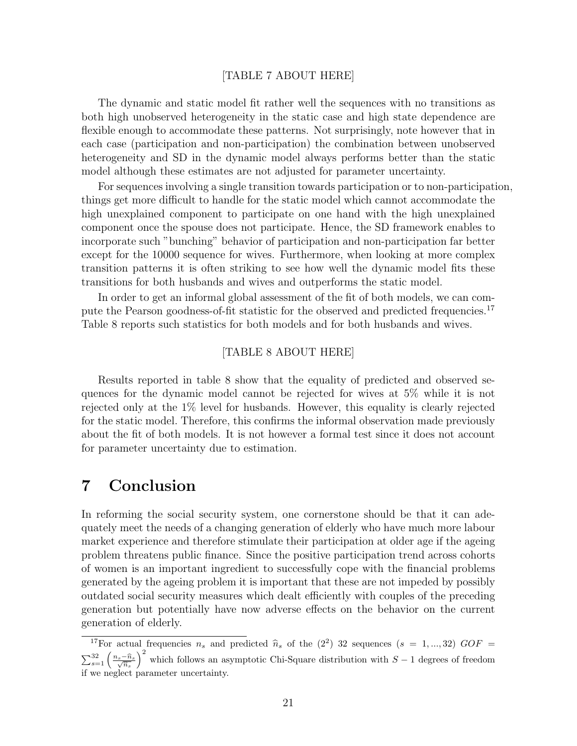#### [TABLE 7 ABOUT HERE]

The dynamic and static model fit rather well the sequences with no transitions as both high unobserved heterogeneity in the static case and high state dependence are flexible enough to accommodate these patterns. Not surprisingly, note however that in each case (participation and non-participation) the combination between unobserved heterogeneity and SD in the dynamic model always performs better than the static model although these estimates are not adjusted for parameter uncertainty.

For sequences involving a single transition towards participation or to non-participation, things get more difficult to handle for the static model which cannot accommodate the high unexplained component to participate on one hand with the high unexplained component once the spouse does not participate. Hence, the SD framework enables to incorporate such "bunching" behavior of participation and non-participation far better except for the 10000 sequence for wives. Furthermore, when looking at more complex transition patterns it is often striking to see how well the dynamic model fits these transitions for both husbands and wives and outperforms the static model.

In order to get an informal global assessment of the fit of both models, we can compute the Pearson goodness-of-fit statistic for the observed and predicted frequencies.<sup>17</sup> Table 8 reports such statistics for both models and for both husbands and wives.

#### [TABLE 8 ABOUT HERE]

Results reported in table 8 show that the equality of predicted and observed sequences for the dynamic model cannot be rejected for wives at 5% while it is not rejected only at the 1% level for husbands. However, this equality is clearly rejected for the static model. Therefore, this confirms the informal observation made previously about the fit of both models. It is not however a formal test since it does not account for parameter uncertainty due to estimation.

## 7 Conclusion

In reforming the social security system, one cornerstone should be that it can adequately meet the needs of a changing generation of elderly who have much more labour market experience and therefore stimulate their participation at older age if the ageing problem threatens public finance. Since the positive participation trend across cohorts of women is an important ingredient to successfully cope with the financial problems generated by the ageing problem it is important that these are not impeded by possibly outdated social security measures which dealt efficiently with couples of the preceding generation but potentially have now adverse effects on the behavior on the current generation of elderly.

<sup>&</sup>lt;sup>17</sup>For actual frequencies  $n_s$  and predicted  $\hat{n}_s$  of the (2<sup>2</sup>) 32 sequences ( $s = 1, ..., 32$ )  $GOF =$  $\sum_{s=1}^{32} \left( \frac{n_s - \widehat{n}_s}{\sqrt{\widehat{n}_s}} \right)$  $\frac{11}{12}$ which follows an asymptotic Chi-Square distribution with  $S-1$  degrees of freedom if we neglect parameter uncertainty.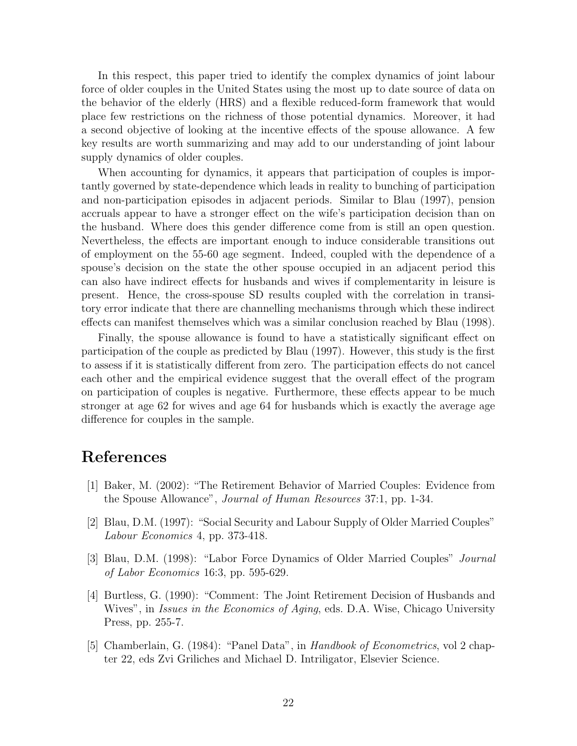In this respect, this paper tried to identify the complex dynamics of joint labour force of older couples in the United States using the most up to date source of data on the behavior of the elderly (HRS) and a flexible reduced-form framework that would place few restrictions on the richness of those potential dynamics. Moreover, it had a second objective of looking at the incentive effects of the spouse allowance. A few key results are worth summarizing and may add to our understanding of joint labour supply dynamics of older couples.

When accounting for dynamics, it appears that participation of couples is importantly governed by state-dependence which leads in reality to bunching of participation and non-participation episodes in adjacent periods. Similar to Blau (1997), pension accruals appear to have a stronger effect on the wife's participation decision than on the husband. Where does this gender difference come from is still an open question. Nevertheless, the effects are important enough to induce considerable transitions out of employment on the 55-60 age segment. Indeed, coupled with the dependence of a spouse's decision on the state the other spouse occupied in an adjacent period this can also have indirect effects for husbands and wives if complementarity in leisure is present. Hence, the cross-spouse SD results coupled with the correlation in transitory error indicate that there are channelling mechanisms through which these indirect effects can manifest themselves which was a similar conclusion reached by Blau (1998).

Finally, the spouse allowance is found to have a statistically significant effect on participation of the couple as predicted by Blau (1997). However, this study is the first to assess if it is statistically different from zero. The participation effects do not cancel each other and the empirical evidence suggest that the overall effect of the program on participation of couples is negative. Furthermore, these effects appear to be much stronger at age 62 for wives and age 64 for husbands which is exactly the average age difference for couples in the sample.

# References

- [1] Baker, M. (2002): "The Retirement Behavior of Married Couples: Evidence from the Spouse Allowance", Journal of Human Resources 37:1, pp. 1-34.
- [2] Blau, D.M. (1997): "Social Security and Labour Supply of Older Married Couples" Labour Economics 4, pp. 373-418.
- [3] Blau, D.M. (1998): "Labor Force Dynamics of Older Married Couples" Journal of Labor Economics 16:3, pp. 595-629.
- [4] Burtless, G. (1990): "Comment: The Joint Retirement Decision of Husbands and Wives", in *Issues in the Economics of Aging*, eds. D.A. Wise, Chicago University Press, pp. 255-7.
- [5] Chamberlain, G. (1984): "Panel Data", in Handbook of Econometrics, vol 2 chapter 22, eds Zvi Griliches and Michael D. Intriligator, Elsevier Science.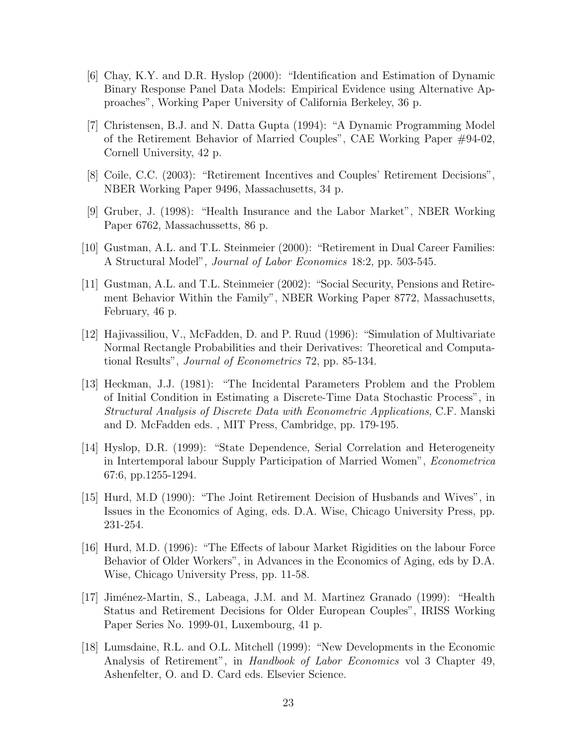- [6] Chay, K.Y. and D.R. Hyslop (2000): "Identification and Estimation of Dynamic Binary Response Panel Data Models: Empirical Evidence using Alternative Approaches", Working Paper University of California Berkeley, 36 p.
- [7] Christensen, B.J. and N. Datta Gupta (1994): "A Dynamic Programming Model of the Retirement Behavior of Married Couples", CAE Working Paper #94-02, Cornell University, 42 p.
- [8] Coile, C.C. (2003): "Retirement Incentives and Couples' Retirement Decisions", NBER Working Paper 9496, Massachusetts, 34 p.
- [9] Gruber, J. (1998): "Health Insurance and the Labor Market", NBER Working Paper 6762, Massachussetts, 86 p.
- [10] Gustman, A.L. and T.L. Steinmeier (2000): "Retirement in Dual Career Families: A Structural Model", Journal of Labor Economics 18:2, pp. 503-545.
- [11] Gustman, A.L. and T.L. Steinmeier (2002): "Social Security, Pensions and Retirement Behavior Within the Family", NBER Working Paper 8772, Massachusetts, February, 46 p.
- [12] Hajivassiliou, V., McFadden, D. and P. Ruud (1996): "Simulation of Multivariate Normal Rectangle Probabilities and their Derivatives: Theoretical and Computational Results", Journal of Econometrics 72, pp. 85-134.
- [13] Heckman, J.J. (1981): "The Incidental Parameters Problem and the Problem of Initial Condition in Estimating a Discrete-Time Data Stochastic Process", in Structural Analysis of Discrete Data with Econometric Applications, C.F. Manski and D. McFadden eds. , MIT Press, Cambridge, pp. 179-195.
- [14] Hyslop, D.R. (1999): "State Dependence, Serial Correlation and Heterogeneity in Intertemporal labour Supply Participation of Married Women", Econometrica 67:6, pp.1255-1294.
- [15] Hurd, M.D (1990): "The Joint Retirement Decision of Husbands and Wives", in Issues in the Economics of Aging, eds. D.A. Wise, Chicago University Press, pp. 231-254.
- [16] Hurd, M.D. (1996): "The Effects of labour Market Rigidities on the labour Force Behavior of Older Workers", in Advances in the Economics of Aging, eds by D.A. Wise, Chicago University Press, pp. 11-58.
- [17] Jim´enez-Martin, S., Labeaga, J.M. and M. Martinez Granado (1999): "Health Status and Retirement Decisions for Older European Couples", IRISS Working Paper Series No. 1999-01, Luxembourg, 41 p.
- [18] Lumsdaine, R.L. and O.L. Mitchell (1999): "New Developments in the Economic Analysis of Retirement", in *Handbook of Labor Economics* vol 3 Chapter 49, Ashenfelter, O. and D. Card eds. Elsevier Science.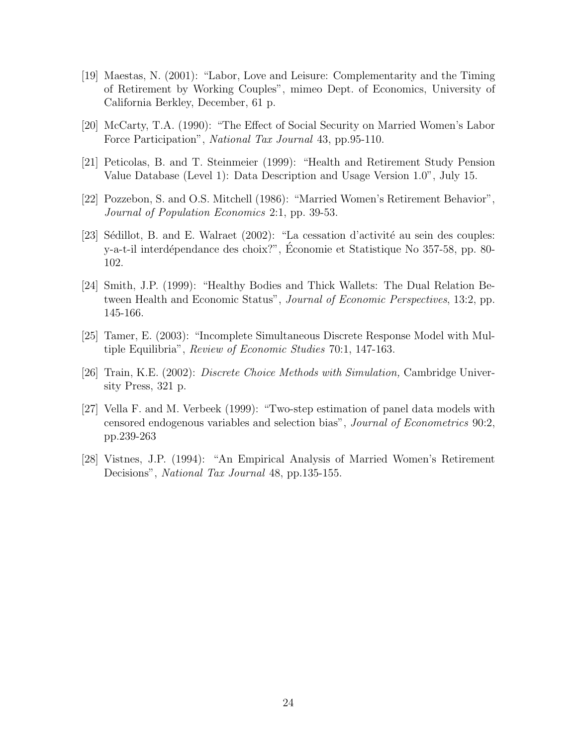- [19] Maestas, N. (2001): "Labor, Love and Leisure: Complementarity and the Timing of Retirement by Working Couples", mimeo Dept. of Economics, University of California Berkley, December, 61 p.
- [20] McCarty, T.A. (1990): "The Effect of Social Security on Married Women's Labor Force Participation", National Tax Journal 43, pp.95-110.
- [21] Peticolas, B. and T. Steinmeier (1999): "Health and Retirement Study Pension Value Database (Level 1): Data Description and Usage Version 1.0", July 15.
- [22] Pozzebon, S. and O.S. Mitchell (1986): "Married Women's Retirement Behavior", Journal of Population Economics 2:1, pp. 39-53.
- [23] Sédillot, B. and E. Walraet  $(2002)$ : "La cessation d'activité au sein des couples: y-a-t-il interdépendance des choix?", Économie et Statistique No 357-58, pp. 80-102.
- [24] Smith, J.P. (1999): "Healthy Bodies and Thick Wallets: The Dual Relation Between Health and Economic Status", Journal of Economic Perspectives, 13:2, pp. 145-166.
- [25] Tamer, E. (2003): "Incomplete Simultaneous Discrete Response Model with Multiple Equilibria", Review of Economic Studies 70:1, 147-163.
- [26] Train, K.E. (2002): Discrete Choice Methods with Simulation, Cambridge University Press, 321 p.
- [27] Vella F. and M. Verbeek (1999): "Two-step estimation of panel data models with censored endogenous variables and selection bias", Journal of Econometrics 90:2, pp.239-263
- [28] Vistnes, J.P. (1994): "An Empirical Analysis of Married Women's Retirement Decisions", National Tax Journal 48, pp.135-155.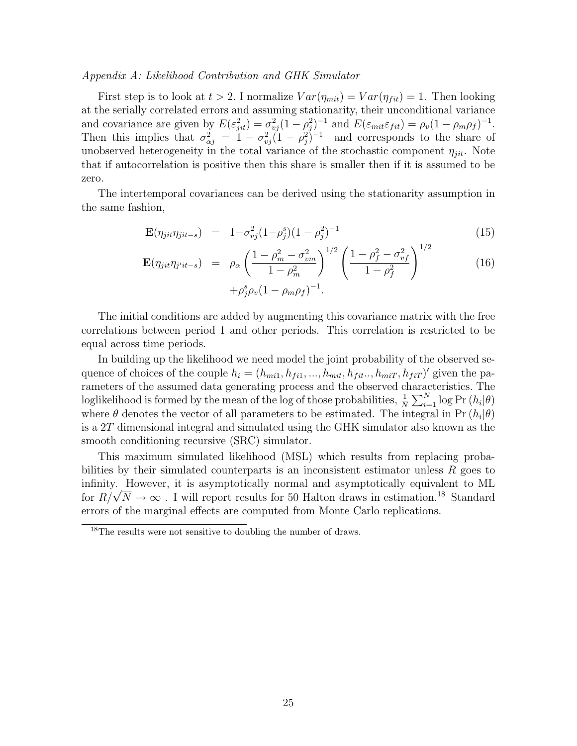#### Appendix A: Likelihood Contribution and GHK Simulator

First step is to look at  $t > 2$ . I normalize  $Var(\eta_{mit}) = Var(\eta_{fit}) = 1$ . Then looking at the serially correlated errors and assuming stationarity, their unconditional variance and covariance are given by  $E(\varepsilon_{jit}^2) = \sigma_{vj}^2 (1 - \rho_j^2)^{-1}$  and  $E(\varepsilon_{mit} \varepsilon_{fit}) = \rho_v (1 - \rho_m \rho_f)^{-1}$ . Then this implies that  $\sigma_{\alpha j}^2 = 1 - \sigma_{\nu j}^2 (1 - \rho_j^2)^{-1}$  and corresponds to the share of unobserved heterogeneity in the total variance of the stochastic component  $\eta_{ijt}$ . Note that if autocorrelation is positive then this share is smaller then if it is assumed to be zero.

The intertemporal covariances can be derived using the stationarity assumption in the same fashion,

$$
\mathbf{E}(\eta_{jit}\eta_{jit-s}) = 1 - \sigma_{vj}^2 (1 - \rho_j^s)(1 - \rho_j^2)^{-1}
$$
\n(15)

$$
\mathbf{E}(\eta_{jit} \eta_{j'it-s}) = \rho_{\alpha} \left( \frac{1 - \rho_m^2 - \sigma_{vm}^2}{1 - \rho_m^2} \right)^{1/2} \left( \frac{1 - \rho_f^2 - \sigma_{vf}^2}{1 - \rho_f^2} \right)^{1/2} + \rho_j^s \rho_v (1 - \rho_m \rho_f)^{-1}.
$$
 (16)

The initial conditions are added by augmenting this covariance matrix with the free correlations between period 1 and other periods. This correlation is restricted to be equal across time periods.

In building up the likelihood we need model the joint probability of the observed sequence of choices of the couple  $h_i = (h_{mi1}, h_{fi1}, ..., h_{mit}, h_{fit}..., h_{miT}, h_{fiT})'$  given the parameters of the assumed data generating process and the observed characteristics. The loglikelihood is formed by the mean of the log of those probabilities,  $\frac{1}{N}$ arad $\sum_{N}$  $\sum_{i=1}^{N} \log \Pr (h_i | \theta)$ where  $\theta$  denotes the vector of all parameters to be estimated. The integral in Pr  $(h_i|\theta)$ is a 2T dimensional integral and simulated using the GHK simulator also known as the smooth conditioning recursive (SRC) simulator.

This maximum simulated likelihood (MSL) which results from replacing probabilities by their simulated counterparts is an inconsistent estimator unless  $R$  goes to infinity. However, it is asymptotically normal and asymptotically equivalent to ML infinity. However, it is asymptotically normal and asymptotically equivalent to ML for  $R/\sqrt{N} \rightarrow \infty$  . I will report results for 50 Halton draws in estimation.<sup>18</sup> Standard errors of the marginal effects are computed from Monte Carlo replications.

<sup>18</sup>The results were not sensitive to doubling the number of draws.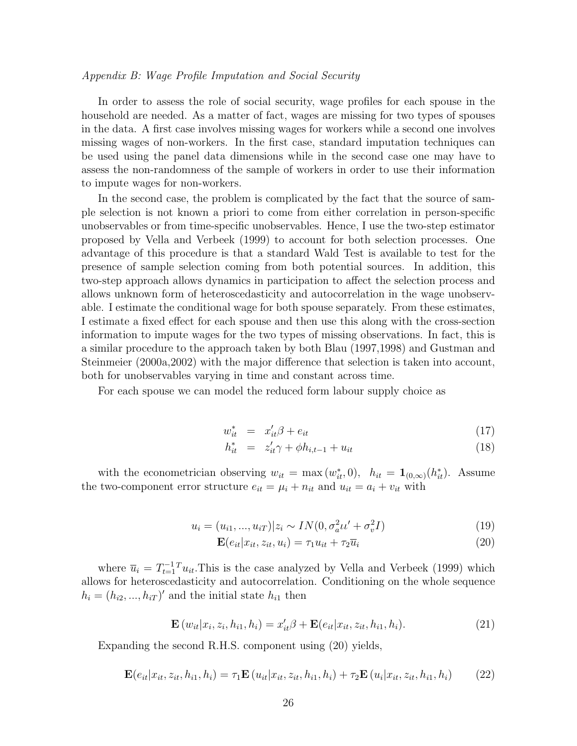#### Appendix B: Wage Profile Imputation and Social Security

In order to assess the role of social security, wage profiles for each spouse in the household are needed. As a matter of fact, wages are missing for two types of spouses in the data. A first case involves missing wages for workers while a second one involves missing wages of non-workers. In the first case, standard imputation techniques can be used using the panel data dimensions while in the second case one may have to assess the non-randomness of the sample of workers in order to use their information to impute wages for non-workers.

In the second case, the problem is complicated by the fact that the source of sample selection is not known a priori to come from either correlation in person-specific unobservables or from time-specific unobservables. Hence, I use the two-step estimator proposed by Vella and Verbeek (1999) to account for both selection processes. One advantage of this procedure is that a standard Wald Test is available to test for the presence of sample selection coming from both potential sources. In addition, this two-step approach allows dynamics in participation to affect the selection process and allows unknown form of heteroscedasticity and autocorrelation in the wage unobservable. I estimate the conditional wage for both spouse separately. From these estimates, I estimate a fixed effect for each spouse and then use this along with the cross-section information to impute wages for the two types of missing observations. In fact, this is a similar procedure to the approach taken by both Blau (1997,1998) and Gustman and Steinmeier (2000a,2002) with the major difference that selection is taken into account, both for unobservables varying in time and constant across time.

For each spouse we can model the reduced form labour supply choice as

$$
w_{it}^* = x_{it}'\beta + e_{it} \tag{17}
$$

$$
h_{it}^* = z_{it}' \gamma + \phi h_{i,t-1} + u_{it} \tag{18}
$$

with the econometrician observing  $w_{it} = \max(w_{it}^*, 0)$ ,  $h_{it} = \mathbf{1}_{(0,\infty)}(h_{it}^*)$ . Assume the two-component error structure  $e_{it} = \mu_i + n_{it}$  and  $u_{it} = a_i + v_{it}$  with

$$
u_i = (u_{i1}, ..., u_{iT}) | z_i \sim IN(0, \sigma_a^2 \iota t' + \sigma_v^2 I)
$$
\n(19)

$$
\mathbf{E}(e_{it}|x_{it}, z_{it}, u_i) = \tau_1 u_{it} + \tau_2 \overline{u}_i \tag{20}
$$

where  $\overline{u}_i = T_{t=1}^{-1} u_{it}$ . This is the case analyzed by Vella and Verbeek (1999) which allows for heteroscedasticity and autocorrelation. Conditioning on the whole sequence  $h_i = (h_{i2}, ..., h_{iT})'$  and the initial state  $h_{i1}$  then

$$
\mathbf{E}(w_{it}|x_i, z_i, h_{i1}, h_i) = x'_{it}\beta + \mathbf{E}(e_{it}|x_{it}, z_{it}, h_{i1}, h_i).
$$
 (21)

Expanding the second R.H.S. component using (20) yields,

$$
\mathbf{E}(e_{it}|x_{it}, z_{it}, h_{i1}, h_i) = \tau_1 \mathbf{E}(u_{it}|x_{it}, z_{it}, h_{i1}, h_i) + \tau_2 \mathbf{E}(u_i|x_{it}, z_{it}, h_{i1}, h_i)
$$
(22)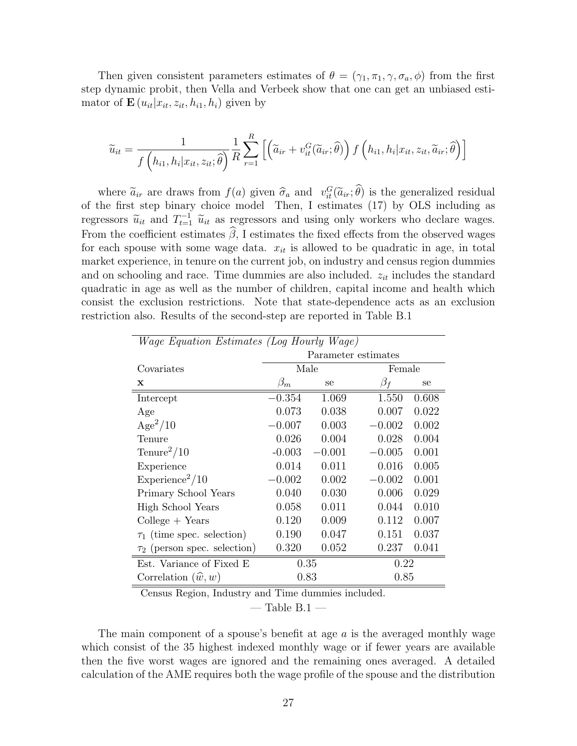Then given consistent parameters estimates of  $\theta = (\gamma_1, \pi_1, \gamma, \sigma_a, \phi)$  from the first step dynamic probit, then Vella and Verbeek show that one can get an unbiased estimator of  $\mathbf{E}\left(u_{it}|x_{it}, z_{it}, h_{i1}, h_{i}\right)$  given by

$$
\widetilde{u}_{it} = \frac{1}{f\left(h_{i1}, h_i | x_{it}, z_{it}; \widehat{\theta}\right)} \frac{1}{R} \sum_{r=1}^{R} \left[ \left(\widetilde{a}_{ir} + v_{it}^G(\widetilde{a}_{ir}; \widehat{\theta})\right) f\left(h_{i1}, h_i | x_{it}, z_{it}, \widetilde{a}_{ir}; \widehat{\theta}\right) \right]
$$

where  $\tilde{a}_{ir}$  are draws from  $f(a)$  given  $\hat{\sigma}_a$  and  $v_{it}^G(\tilde{a}_{ir}; \hat{\theta})$  is the generalized residual of the first step binary choice model Then, I estimates (17) by OLS including as regressors  $\tilde{u}_{it}$  and  $T_{t=1}^{-1}$   $\tilde{u}_{it}$  as regressors and using only workers who declare wages. From the coefficient estimates  $\widehat{\beta}$ , I estimates the fixed effects from the observed wages for each spouse with some wage data.  $x_{it}$  is allowed to be quadratic in age, in total market experience, in tenure on the current job, on industry and census region dummies and on schooling and race. Time dummies are also included.  $z_{it}$  includes the standard quadratic in age as well as the number of children, capital income and health which consist the exclusion restrictions. Note that state-dependence acts as an exclusion restriction also. Results of the second-step are reported in Table B.1

| <i>Wage Equation Estimates (Log Hourly Wage)</i> |                     |          |           |       |  |
|--------------------------------------------------|---------------------|----------|-----------|-------|--|
|                                                  | Parameter estimates |          |           |       |  |
| Covariates                                       | Male                |          | Female    |       |  |
| X                                                | $\beta_m$<br>se     |          | $\beta_f$ | se    |  |
| Intercept                                        | $-0.354$            | 1.069    | 1.550     | 0.608 |  |
| Age                                              | 0.073               | 0.038    | 0.007     | 0.022 |  |
| $Age^2/10$                                       | $-0.007$            | 0.003    | $-0.002$  | 0.002 |  |
| Tenure                                           | 0.026               | 0.004    | 0.028     | 0.004 |  |
| $T$ enure <sup>2</sup> /10                       | $-0.003$            | $-0.001$ | $-0.005$  | 0.001 |  |
| Experience                                       | 0.014               | 0.011    | 0.016     | 0.005 |  |
| $\text{Experience}^2/10$                         | $-0.002$            | 0.002    | $-0.002$  | 0.001 |  |
| Primary School Years                             | 0.040               | 0.030    | 0.006     | 0.029 |  |
| High School Years                                | 0.058               | 0.011    | 0.044     | 0.010 |  |
| $Collect + Years$                                | 0.120               | 0.009    | 0.112     | 0.007 |  |
| $\tau_1$ (time spec. selection)                  | 0.190               | 0.047    | 0.151     | 0.037 |  |
| $\tau_2$ (person spec. selection)                | 0.320               | 0.052    | 0.237     | 0.041 |  |
| Est. Variance of Fixed E                         |                     | 0.35     | 0.22      |       |  |
| Correlation $(\widehat{w}, w)$                   |                     | 0.83     | 0.85      |       |  |

Census Region, Industry and Time dummies included.

 $-$  Table B.1  $-$ 

The main component of a spouse's benefit at age  $a$  is the averaged monthly wage which consist of the 35 highest indexed monthly wage or if fewer years are available then the five worst wages are ignored and the remaining ones averaged. A detailed calculation of the AME requires both the wage profile of the spouse and the distribution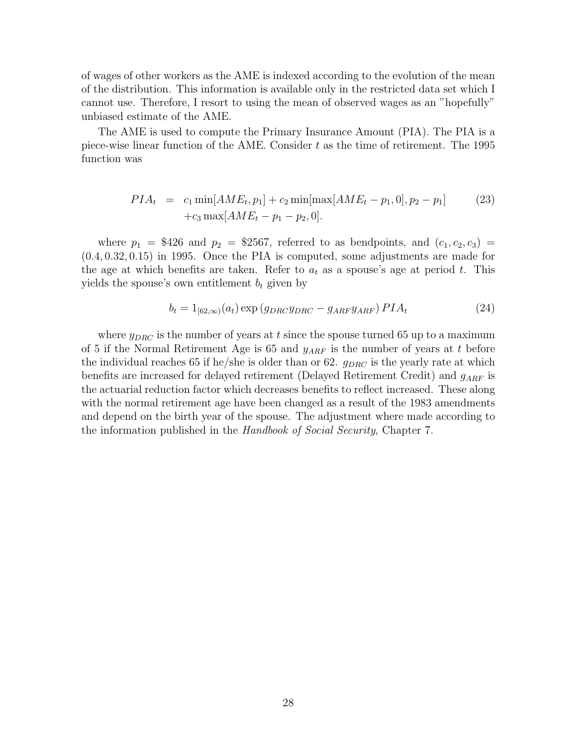of wages of other workers as the AME is indexed according to the evolution of the mean of the distribution. This information is available only in the restricted data set which I cannot use. Therefore, I resort to using the mean of observed wages as an "hopefully" unbiased estimate of the AME.

The AME is used to compute the Primary Insurance Amount (PIA). The PIA is a piece-wise linear function of the AME. Consider  $t$  as the time of retirement. The 1995 function was

$$
PIA_t = c_1 \min[AME_t, p_1] + c_2 \min[\max[AME_t - p_1, 0], p_2 - p_1] \tag{23}
$$

$$
+ c_3 \max[AME_t - p_1 - p_2, 0].
$$

where  $p_1 = $426$  and  $p_2 = $2567$ , referred to as bendpoints, and  $(c_1, c_2, c_3)$ (0.4, 0.32, 0.15) in 1995. Once the PIA is computed, some adjustments are made for the age at which benefits are taken. Refer to  $a_t$  as a spouse's age at period t. This yields the spouse's own entitlement  $b_t$  given by

$$
b_t = 1_{[62,\infty)}(a_t) \exp\left(g_{DRC}y_{DRC} - g_{ARF}y_{ARF}\right) PIA_t \tag{24}
$$

where  $y_{DRC}$  is the number of years at t since the spouse turned 65 up to a maximum of 5 if the Normal Retirement Age is 65 and  $y_{ARF}$  is the number of years at t before the individual reaches 65 if he/she is older than or 62.  $g_{DRC}$  is the yearly rate at which benefits are increased for delayed retirement (Delayed Retirement Credit) and  $g_{ART}$  is the actuarial reduction factor which decreases benefits to reflect increased. These along with the normal retirement age have been changed as a result of the 1983 amendments and depend on the birth year of the spouse. The adjustment where made according to the information published in the Handbook of Social Security, Chapter 7.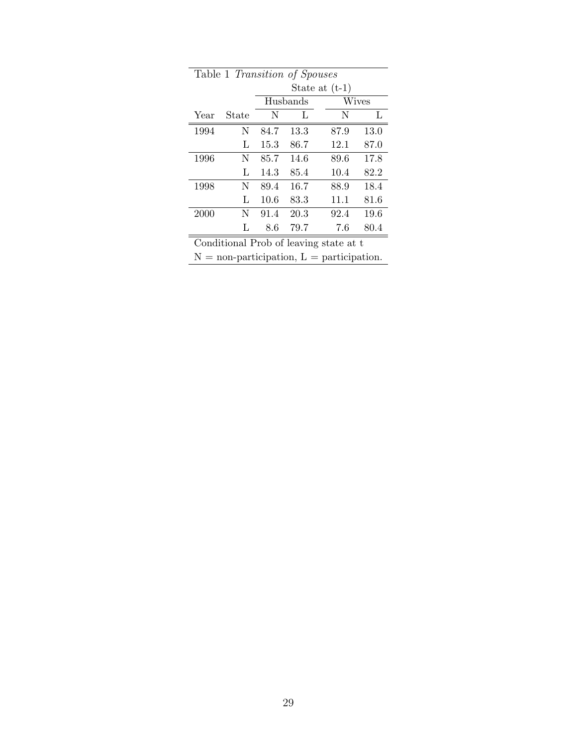| Table 1 Transition of Spouses |       |      |          |                                        |      |  |  |  |
|-------------------------------|-------|------|----------|----------------------------------------|------|--|--|--|
| State at $(t-1)$              |       |      |          |                                        |      |  |  |  |
|                               |       |      | Husbands | Wives                                  |      |  |  |  |
| Year                          | State | N    | L        | N                                      | L    |  |  |  |
| 1994                          | N     | 84.7 | 13.3     | 87.9                                   | 13.0 |  |  |  |
|                               | L     | 15.3 | 86.7     | 12.1                                   | 87.0 |  |  |  |
| 1996                          | N     | 85.7 | 14.6     | 89.6                                   | 17.8 |  |  |  |
|                               | L     | 14.3 | 85.4     | 10.4                                   | 82.2 |  |  |  |
| 1998                          | N     | 89.4 | 16.7     | 88.9                                   | 18.4 |  |  |  |
|                               | L     | 10.6 | 83.3     | 11.1                                   | 81.6 |  |  |  |
| 2000                          | N     | 91.4 | 20.3     | 92.4                                   | 19.6 |  |  |  |
|                               | L     | 8.6  | 79.7     | 7.6                                    | 80.4 |  |  |  |
|                               |       |      |          | Conditional Prob of leaving state at t |      |  |  |  |

 $N =$  non-participation,  $L =$  participation.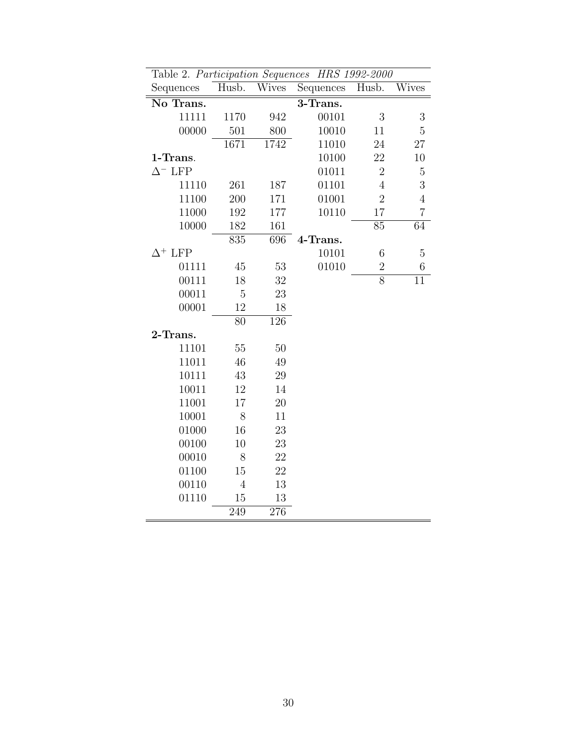| Table 2. Participation Sequences HRS 1992-2000 |                |              |           |                |                  |
|------------------------------------------------|----------------|--------------|-----------|----------------|------------------|
| Sequences                                      | Husb.          | <b>Wives</b> | Sequences | Husb.          | Wives            |
| No Trans.                                      |                |              | 3-Trans.  |                |                  |
| 11111                                          | 1170           | 942          | 00101     | $\mathfrak{Z}$ | $\boldsymbol{3}$ |
| 00000                                          | 501            | 800          | 10010     | 11             | 5                |
|                                                | 1671           | 1742         | 11010     | 24             | $27\,$           |
| 1-Trans.                                       |                |              | 10100     | 22             | 10               |
| $\Delta^-$ LFP                                 |                |              | 01011     | $\overline{2}$ | $\mathbf 5$      |
| 11110                                          | 261            | 187          | 01101     | $\overline{4}$ | 3                |
| 11100                                          | 200            | 171          | 01001     | $\overline{2}$ | $\overline{4}$   |
| 11000                                          | 192            | 177          | 10110     | 17             | $\overline{7}$   |
| 10000                                          | 182            | 161          |           | 85             | 64               |
|                                                | 835            | 696          | 4-Trans.  |                |                  |
| $\Delta^+$ LFP                                 |                |              | 10101     | 6              | 5                |
| 01111                                          | 45             | 53           | 01010     | $\overline{2}$ | $\,$ 6 $\,$      |
| 00111                                          | 18             | 32           |           | $\overline{8}$ | 11               |
| 00011                                          | $\overline{5}$ | 23           |           |                |                  |
| 00001                                          | 12             | 18           |           |                |                  |
|                                                | 80             | 126          |           |                |                  |
| 2-Trans.                                       |                |              |           |                |                  |
| 11101                                          | 55             | 50           |           |                |                  |
| 11011                                          | 46             | $49\,$       |           |                |                  |
| 10111                                          | 43             | 29           |           |                |                  |
| 10011                                          | 12             | 14           |           |                |                  |
| 11001                                          | 17             | 20           |           |                |                  |
| 10001                                          | 8              | 11           |           |                |                  |
| 01000                                          | 16             | 23           |           |                |                  |
| 00100                                          | 10             | 23           |           |                |                  |
| 00010                                          | 8              | 22           |           |                |                  |
| 01100                                          | 15             | 22           |           |                |                  |
| 00110                                          | $\overline{4}$ | 13           |           |                |                  |
| 01110                                          | 15             | 13           |           |                |                  |
|                                                | 249            | 276          |           |                |                  |

30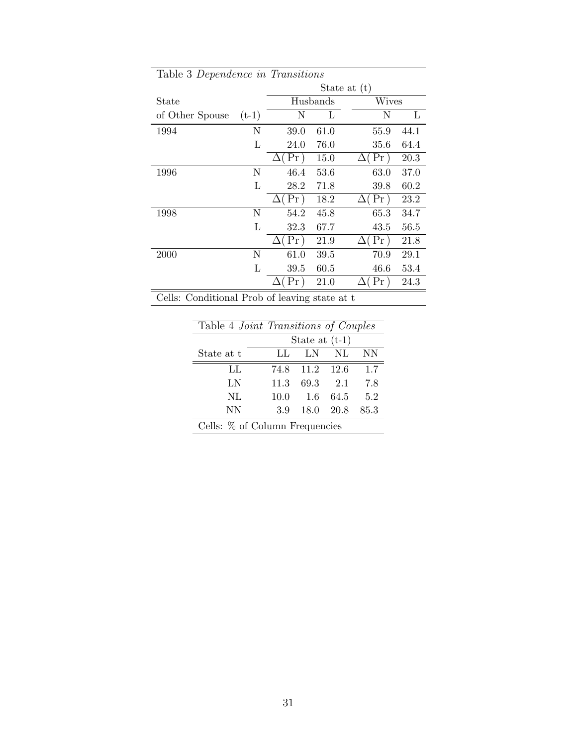| Table 3 Dependence in Transitions             |         |                  |          |                  |      |  |
|-----------------------------------------------|---------|------------------|----------|------------------|------|--|
|                                               |         | State at $(t)$   |          |                  |      |  |
| State                                         |         |                  | Husbands | <b>Wives</b>     |      |  |
| of Other Spouse                               | $(t-1)$ | N                | L        | Ν                | L    |  |
| 1994                                          | Ν       | 39.0             | 61.0     | 55.9             | 44.1 |  |
|                                               | L       | 24.0             | 76.0     | 35.6             | 64.4 |  |
|                                               |         | Pr<br>$\Delta$   | 15.0     | Pr)<br>$\Delta($ | 20.3 |  |
| 1996                                          | Ν       | 46.4             | 53.6     | 63.0             | 37.0 |  |
|                                               | L       | 28.2             | 71.8     | 39.8             | 60.2 |  |
|                                               |         | Pr)<br>$\Delta($ | 18.2     | $\Delta$ (Pr)    | 23.2 |  |
| 1998                                          | Ν       | 54.2             | 45.8     | 65.3             | 34.7 |  |
|                                               | L       | 32.3             | 67.7     | 43.5             | 56.5 |  |
|                                               |         | Рr<br>Δ          | 21.9     | Pr)<br>Δ         | 21.8 |  |
| 2000                                          | Ν       | 61.0             | 39.5     | 70.9             | 29.1 |  |
|                                               | L       | 39.5             | 60.5     | 46.6             | 53.4 |  |
|                                               |         | $\Pr$            | 21.0     | Pr               | 24.3 |  |
| Cells: Conditional Prob of leaving state at t |         |                  |          |                  |      |  |

| Table 4 <i>Joint Transitions of Couples</i> |                  |      |      |      |  |  |  |
|---------------------------------------------|------------------|------|------|------|--|--|--|
|                                             | State at $(t-1)$ |      |      |      |  |  |  |
| State at t                                  | LL               | LN   | NL   | NΝ   |  |  |  |
| LL.                                         | 74.8             | 11.2 | 12.6 | 1.7  |  |  |  |
| LN                                          | 11.3             | 69.3 | 2.1  | 7.8  |  |  |  |
| NL                                          | 10.0             | 1.6  | 64.5 | 5.2  |  |  |  |
| NΝ                                          | 3.9              | 18.0 | 20.8 | 85.3 |  |  |  |
| Cells: % of Column Frequencies              |                  |      |      |      |  |  |  |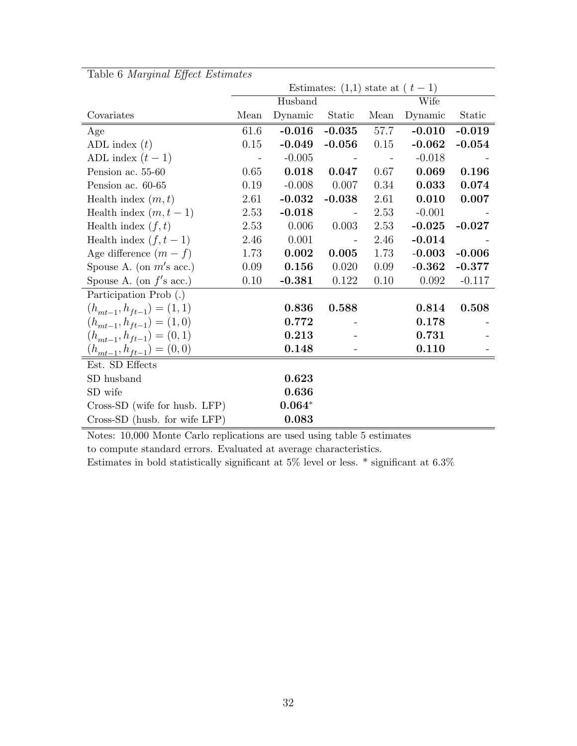| $\mathbf{L}$ asi $\circ$ s $\mathbf{L}$ anginaat $\mathbf{L}$ jject $\mathbf{L}$ stintatees |      |          | Estimates: $(1,1)$ state at $(t-1)$ |      |          |          |
|---------------------------------------------------------------------------------------------|------|----------|-------------------------------------|------|----------|----------|
|                                                                                             |      | Husband  |                                     |      | Wife     |          |
| Covariates                                                                                  | Mean | Dynamic  | Static                              | Mean | Dynamic  | Static   |
| Age                                                                                         | 61.6 | $-0.016$ | $-0.035$                            | 57.7 | $-0.010$ | $-0.019$ |
| ADL index $(t)$                                                                             | 0.15 | $-0.049$ | $-0.056$                            | 0.15 | $-0.062$ | $-0.054$ |
| ADL index $(t-1)$                                                                           |      | $-0.005$ | $\sim$ $-$                          |      | $-0.018$ |          |
| Pension ac. 55-60                                                                           | 0.65 | 0.018    | 0.047                               | 0.67 | 0.069    | 0.196    |
| Pension ac. 60-65                                                                           | 0.19 | $-0.008$ | 0.007                               | 0.34 | 0.033    | 0.074    |
| Health index $(m, t)$                                                                       | 2.61 | $-0.032$ | $-0.038$                            | 2.61 | 0.010    | 0.007    |
| Health index $(m, t-1)$                                                                     | 2.53 | $-0.018$ |                                     | 2.53 | $-0.001$ |          |
| Health index $(f, t)$                                                                       | 2.53 | 0.006    | 0.003                               | 2.53 | $-0.025$ | $-0.027$ |
| Health index $(f, t-1)$                                                                     | 2.46 | 0.001    |                                     | 2.46 | $-0.014$ |          |
| Age difference $(m - f)$                                                                    | 1.73 | 0.002    | 0.005                               | 1.73 | $-0.003$ | $-0.006$ |
| Spouse A. (on $m$ 's acc.)                                                                  | 0.09 | 0.156    | 0.020                               | 0.09 | $-0.362$ | $-0.377$ |
| Spouse A. (on $f$ 's acc.)                                                                  | 0.10 | $-0.381$ | 0.122                               | 0.10 | 0.092    | $-0.117$ |
| Participation Prob (.)                                                                      |      |          |                                     |      |          |          |
| $(h_{mt-1}, h_{ft-1}) = (1, 1)$                                                             |      | 0.836    | 0.588                               |      | 0.814    | 0.508    |
| $(h_{mt-1}, h_{ft-1}) = (1, 0)$                                                             |      | 0.772    |                                     |      | 0.178    |          |
| $(h_{mt-1}, h_{ft-1}) = (0, 1)$                                                             |      | 0.213    |                                     |      | 0.731    |          |
| $(h_{mt-1}, h_{ft-1}) = (0, 0)$                                                             |      | 0.148    |                                     |      | 0.110    |          |
| Est. SD Effects                                                                             |      |          |                                     |      |          |          |
| SD husband                                                                                  |      | 0.623    |                                     |      |          |          |
| SD wife                                                                                     |      | 0.636    |                                     |      |          |          |
| Cross-SD (wife for husb. LFP)                                                               |      | $0.064*$ |                                     |      |          |          |
| Cross-SD (husb. for wife LFP)                                                               |      | 0.083    |                                     |      |          |          |

Table 6 Marginal Effect Estimates

Notes: 10,000 Monte Carlo replications are used using table 5 estimates

to compute standard errors. Evaluated at average characteristics.

Estimates in bold statistically significant at 5% level or less.  $*$  significant at 6.3%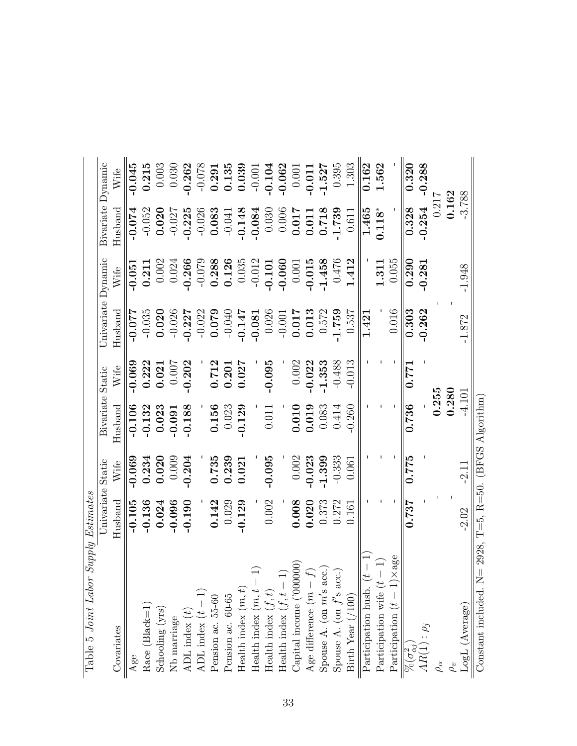| Table 5 <i>Joint Labo</i>                                                                                                    | $r$ Supply Estimates |          |                  |          |                    |          |                   |          |
|------------------------------------------------------------------------------------------------------------------------------|----------------------|----------|------------------|----------|--------------------|----------|-------------------|----------|
|                                                                                                                              | Univariate           | Static   | Bivariate Static |          | Univariate Dynamic |          | Bivariate Dynamic |          |
| Covariates                                                                                                                   | $H$ usband           | Wife     | $H$ usband       | Wife     | $\rm{Husband}$     | Wife     | $H$ usband        | Wife     |
| Age                                                                                                                          | $-0.105$             | $-0.069$ | $-0.106$         | $-0.069$ | $-0.077$           | $-0.051$ | $-0.074$          | $-0.045$ |
|                                                                                                                              | $-0.136$             | 0.234    | $-0.132$         | 0.222    | $-0.035$           | 0.211    | $-0.052$          | 0.215    |
| $\begin{array}{l} \text{Race (Black=1)}\\ \text{Stnoding (yrs)} \end{array}$                                                 | 0.024                | 0.020    | 0.023            | 0.021    | 0.020              | 0.002    | 0.020             | 0.003    |
| Nb marriage<br>ADL index $\left(t\right)$<br>ADL index $\left(t-1\right)$ Pension ac. 55-60                                  | $-0.096$             | 0.009    | $-0.091$         | 0.007    | $-0.026$           | 0.024    | $-0.027$          | 0.030    |
|                                                                                                                              | $-0.190$             | $-0.204$ | $-0.188$         | $-0.202$ | $-0.227$           | $-0.266$ | $-0.225$          | $-0.262$ |
|                                                                                                                              |                      |          |                  |          | $-0.022$           | $-0.079$ | $-0.026$          | $-0.078$ |
|                                                                                                                              | 0.142                | 0.735    | 0.156            | 0.712    | 0.079              | 0.288    | 0.083             | 0.291    |
|                                                                                                                              | 0.029                | 0.239    | 0.023            | 0.201    | $-0.040$           | 0.126    | $-0.041$          | 0.135    |
| $\begin{array}{ll} \mbox{Pension ac.}\ 60\mbox{-}65 \\ \mbox{Health index }(m,t) \end{array}$                                | $-0.129$             | 0.021    | $-0.129$         | 0.027    | $-0.147$           | 0.035    | $-0.148$          | 0.039    |
|                                                                                                                              |                      |          |                  |          | $-0.081$           | $-0.012$ | $-0.084$          | $-0.001$ |
|                                                                                                                              | 0.002                | $-0.095$ | 0.011            | $-0.095$ | 0.026              | $-0.101$ | 0.030             | $-0.104$ |
| Health index $(m, t - 1)$<br>Health index $(f, t)$<br>Health index $(f, t - 1)$                                              |                      |          |                  |          | $-0.001$           | $-0.060$ | 0.006             | $-0.062$ |
|                                                                                                                              | 0.008                | 0.002    | 0.010            | 0.002    | 0.017              | 0.001    | 0.017             | 0.001    |
| Health index $\mathbf{v}_j$ , $(000000)$<br>Capital income ('000000)<br>Age difference $(m - f)$<br>Age difference $(m - f)$ | 0.020                | $-0.023$ | 0.019            | $-0.022$ | 0.013              | $-0.015$ | 0.011             | $-0.011$ |
|                                                                                                                              | 0.373                | $-1.399$ | 0.083            | $-1.353$ | 0.572              | $-1.458$ | 0.718             | $-1.527$ |
| $\odot$                                                                                                                      | 0.272                | $-0.333$ | 0.414            | $-0.488$ | 1.759              | 0.476    | $-1.739$          | 0.395    |
| Spouse A. (on $m's$ acc<br>Spouse A. (on $f's$ acc<br>Birth Year $(1100)$                                                    | 0.161                | 0.061    | 0.260            | $-0.013$ | 0.537              | 1.412    | 0.611             | 1.303    |
| Participation husb.                                                                                                          |                      |          |                  |          | 1.421              |          | 1.465             | 0.162    |
| Participation wife $\left(t\right)$                                                                                          |                      |          |                  |          |                    | 1.311    | $0.118*$          | 1.562    |
| $\times$ age<br>Participation $(t-1)$                                                                                        |                      |          |                  |          | 0.016              | 0.055    |                   |          |
| $\frac{\overline{\overline{\psi_{\mathcal{S}}}(\sigma^2_{\alpha j})}}{AR(1): \rho_j}$                                        | 0.737                | 0.775    | 0.736            | 0.771    | 0.303              | 0.290    | 0.328             | 0.320    |
|                                                                                                                              |                      |          |                  |          | $-0.262$           | $-0.281$ | $-0.254$          | $-0.288$ |
| $\rho_{\alpha}$                                                                                                              |                      |          | 0.255            |          |                    |          | 0.21              |          |
|                                                                                                                              |                      |          | 0.280            |          |                    |          | 0.162             |          |
| $\mbox{LogL}$ (Average)                                                                                                      | $-2.02$              | $-2.11$  | $-4.101$         |          | $-1.872$           | $-1.948$ | $-3.788$          |          |
| Constant included. $N = 2928$ , $T = 5$ , $R = 50$ . (BFGS Algorithm)                                                        |                      |          |                  |          |                    |          |                   |          |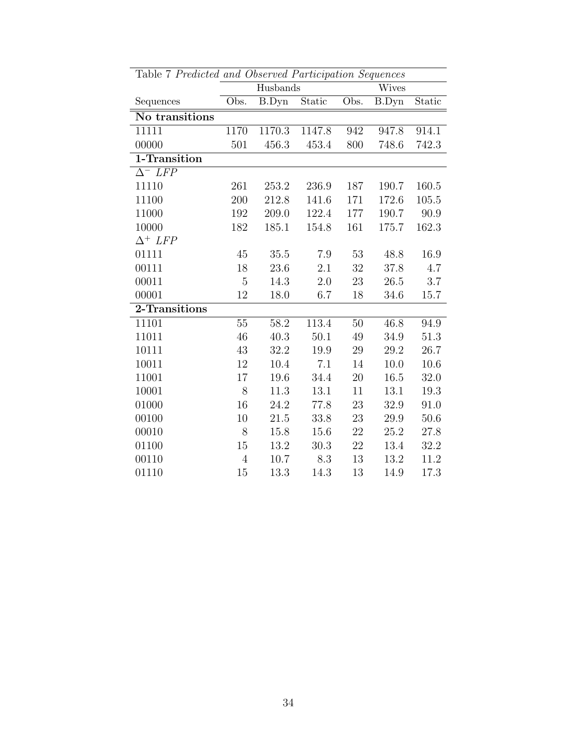| Table 7 Predicted and Observed Participation Sequences |      |          |        |        |              |        |  |  |
|--------------------------------------------------------|------|----------|--------|--------|--------------|--------|--|--|
|                                                        |      | Husbands |        |        | Wives        |        |  |  |
| Sequences                                              | Obs. | B.Dyn    | Static | Obs.   | <b>B.Dyn</b> | Static |  |  |
| No transitions                                         |      |          |        |        |              |        |  |  |
| 11111                                                  | 1170 | 1170.3   | 1147.8 | 942    | 947.8        | 914.1  |  |  |
| 00000                                                  | 501  | 456.3    | 453.4  | 800    | 748.6        | 742.3  |  |  |
| 1-Transition                                           |      |          |        |        |              |        |  |  |
| $\Delta^-$ LFP                                         |      |          |        |        |              |        |  |  |
| 11110                                                  | 261  | 253.2    | 236.9  | 187    | 190.7        | 160.5  |  |  |
| 11100                                                  | 200  | 212.8    | 141.6  | 171    | 172.6        | 105.5  |  |  |
| 11000                                                  | 192  | 209.0    | 122.4  | 177    | 190.7        | 90.9   |  |  |
| 10000                                                  | 182  | 185.1    | 154.8  | 161    | 175.7        | 162.3  |  |  |
| $\Delta^+$ LFP                                         |      |          |        |        |              |        |  |  |
| 01111                                                  | 45   | 35.5     | 7.9    | 53     | 48.8         | 16.9   |  |  |
| 00111                                                  | 18   | 23.6     | 2.1    | 32     | 37.8         | 4.7    |  |  |
| 00011                                                  | 5    | 14.3     | 2.0    | 23     | 26.5         | 3.7    |  |  |
| 00001                                                  | 12   | 18.0     | 6.7    | 18     | 34.6         | 15.7   |  |  |
| 2-Transitions                                          |      |          |        |        |              |        |  |  |
| 11101                                                  | 55   | 58.2     | 113.4  | 50     | 46.8         | 94.9   |  |  |
| 11011                                                  | 46   | 40.3     | 50.1   | 49     | 34.9         | 51.3   |  |  |
| 10111                                                  | 43   | 32.2     | 19.9   | 29     | 29.2         | 26.7   |  |  |
| 10011                                                  | 12   | 10.4     | 7.1    | 14     | 10.0         | 10.6   |  |  |
| 11001                                                  | 17   | 19.6     | 34.4   | 20     | 16.5         | 32.0   |  |  |
| 10001                                                  | 8    | 11.3     | 13.1   | 11     | 13.1         | 19.3   |  |  |
| 01000                                                  | 16   | 24.2     | 77.8   | 23     | 32.9         | 91.0   |  |  |
| 00100                                                  | 10   | 21.5     | 33.8   | 23     | 29.9         | 50.6   |  |  |
| 00010                                                  | 8    | 15.8     | 15.6   | 22     | 25.2         | 27.8   |  |  |
| 01100                                                  | 15   | 13.2     | 30.3   | $22\,$ | 13.4         | 32.2   |  |  |
| 00110                                                  | 4    | 10.7     | 8.3    | 13     | 13.2         | 11.2   |  |  |
| 01110                                                  | 15   | 13.3     | 14.3   | 13     | 14.9         | 17.3   |  |  |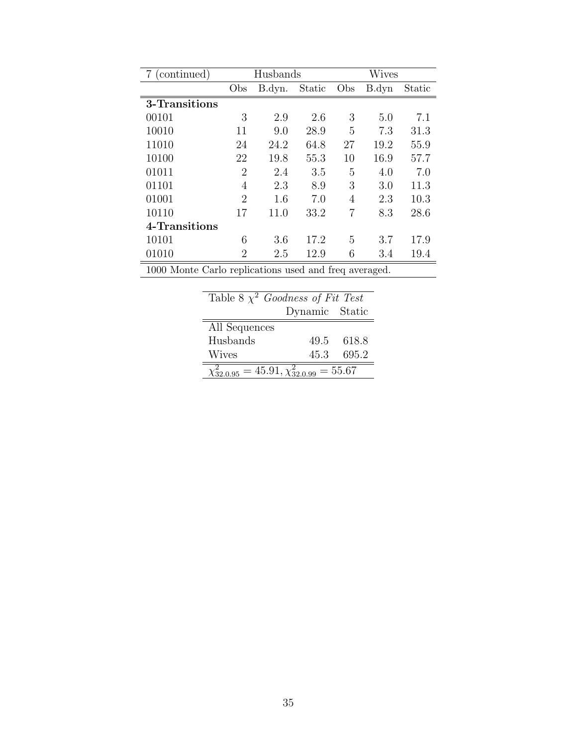| (continued)                                           | Husbands |        |        | Wives |       |        |
|-------------------------------------------------------|----------|--------|--------|-------|-------|--------|
|                                                       | Obs      | B.dyn. | Static | Obs   | B.dyn | Static |
| 3-Transitions                                         |          |        |        |       |       |        |
| 00101                                                 | 3        | 2.9    | 2.6    | 3     | 5.0   | 7.1    |
| 10010                                                 | 11       | 9.0    | 28.9   | 5     | 7.3   | 31.3   |
| 11010                                                 | 24       | 24.2   | 64.8   | 27    | 19.2  | 55.9   |
| 10100                                                 | 22       | 19.8   | 55.3   | 10    | 16.9  | 57.7   |
| 01011                                                 | 2        | 2.4    | 3.5    | 5     | 4.0   | 7.0    |
| 01101                                                 | 4        | 2.3    | 8.9    | 3     | 3.0   | 11.3   |
| 01001                                                 | 2        | 1.6    | 7.0    | 4     | 2.3   | 10.3   |
| 10110                                                 | 17       | 11.0   | 33.2   | 7     | 8.3   | 28.6   |
| 4-Transitions                                         |          |        |        |       |       |        |
| 10101                                                 | 6        | 3.6    | 17.2   | 5     | 3.7   | 17.9   |
| 01010                                                 | 2        | 2.5    | 12.9   | 6     | 3.4   | 19.4   |
| 1000 Monte Carlo replications used and freq averaged. |          |        |        |       |       |        |

| Table 8 $\chi^2$ Goodness of Fit Test                |                |            |  |  |
|------------------------------------------------------|----------------|------------|--|--|
|                                                      | Dynamic Static |            |  |  |
| All Sequences                                        |                |            |  |  |
| Husbands                                             |                | 49.5 618.8 |  |  |
| <b>Wives</b>                                         | 45.3           | 695.2      |  |  |
| $\chi_{32.0.95}^2 = 45.91, \chi_{32.0.99}^2 = 55.67$ |                |            |  |  |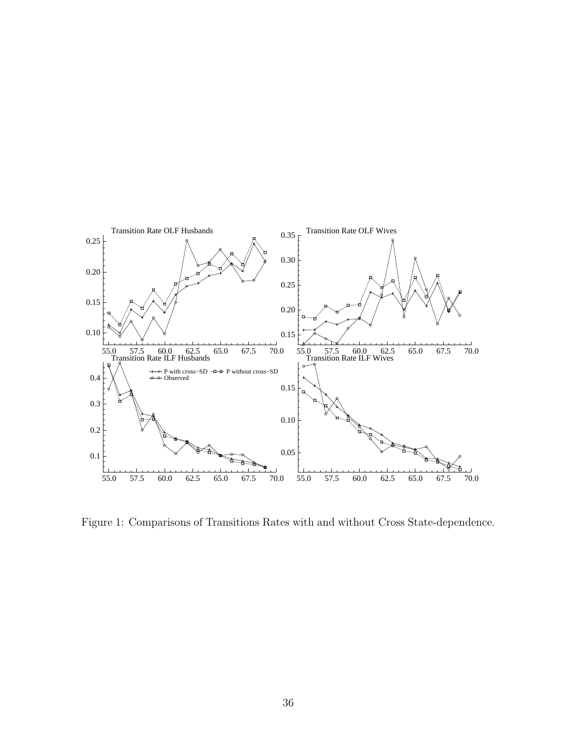

Figure 1: Comparisons of Transitions Rates with and without Cross State-dependence.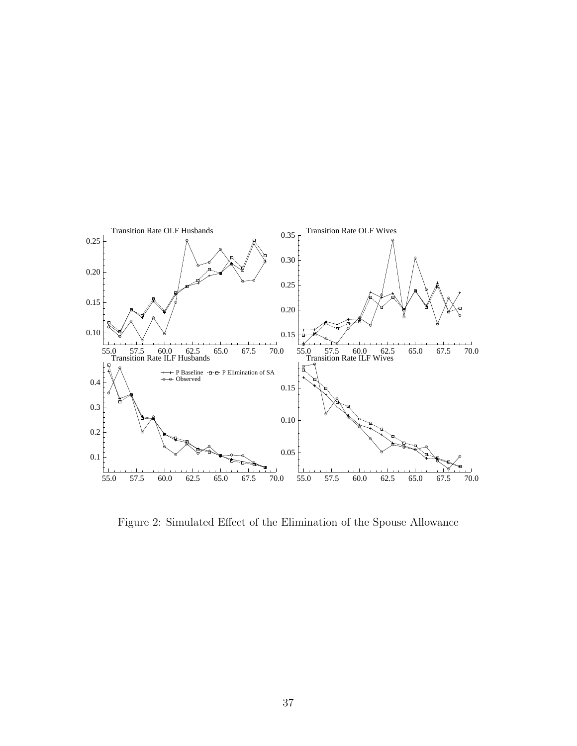

Figure 2: Simulated Effect of the Elimination of the Spouse Allowance